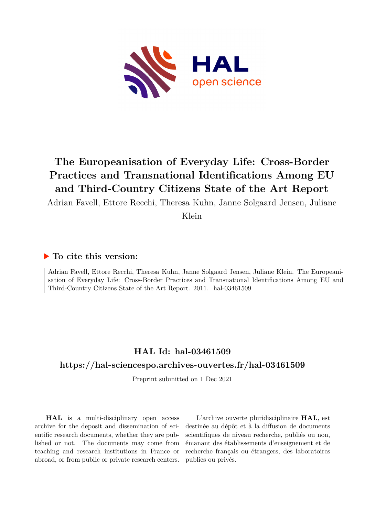

# **The Europeanisation of Everyday Life: Cross-Border Practices and Transnational Identifications Among EU and Third-Country Citizens State of the Art Report**

Adrian Favell, Ettore Recchi, Theresa Kuhn, Janne Solgaard Jensen, Juliane

Klein

# **To cite this version:**

Adrian Favell, Ettore Recchi, Theresa Kuhn, Janne Solgaard Jensen, Juliane Klein. The Europeanisation of Everyday Life: Cross-Border Practices and Transnational Identifications Among EU and Third-Country Citizens State of the Art Report. 2011. hal-03461509

# **HAL Id: hal-03461509**

# **<https://hal-sciencespo.archives-ouvertes.fr/hal-03461509>**

Preprint submitted on 1 Dec 2021

**HAL** is a multi-disciplinary open access archive for the deposit and dissemination of scientific research documents, whether they are published or not. The documents may come from teaching and research institutions in France or abroad, or from public or private research centers.

L'archive ouverte pluridisciplinaire **HAL**, est destinée au dépôt et à la diffusion de documents scientifiques de niveau recherche, publiés ou non, émanant des établissements d'enseignement et de recherche français ou étrangers, des laboratoires publics ou privés.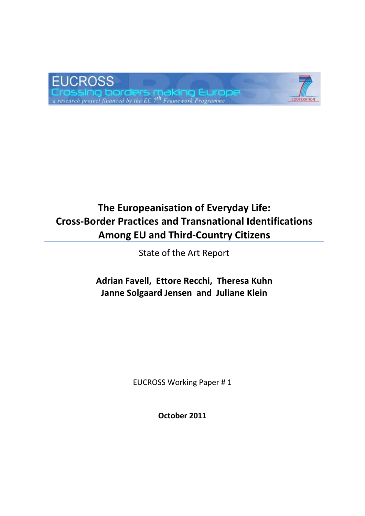

# **The Europeanisation of Everyday Life: Cross-Border Practices and Transnational Identifications Among EU and Third-Country Citizens**

State of the Art Report

**Adrian Favell, Ettore Recchi, Theresa Kuhn Janne Solgaard Jensen and Juliane Klein**

EUCROSS Working Paper # 1

**October 2011**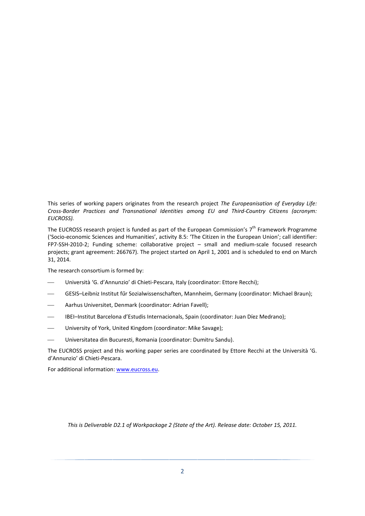This series of working papers originates from the research project *The Europeanisation of Everyday Life: Cross-Border Practices and Transnational Identities among EU and Third-Country Citizens (acronym: EUCROSS).* 

The EUCROSS research project is funded as part of the European Commission's  $7<sup>th</sup>$  Framework Programme ('Socio-economic Sciences and Humanities', activity 8.5: 'The Citizen in the European Union'; call identifier: FP7-SSH-2010-2; Funding scheme: collaborative project – small and medium-scale focused research projects; grant agreement: 266767). The project started on April 1, 2001 and is scheduled to end on March 31, 2014.

The research consortium is formed by:

- Università 'G. d'Annunzio' di Chieti-Pescara, Italy (coordinator: Ettore Recchi);
- GESIS–Leibniz Institut fűr Sozialwissenschaften, Mannheim, Germany (coordinator: Michael Braun);
- Aarhus Universitet, Denmark (coordinator: Adrian Favell);
- IBEI–Institut Barcelona d'Estudis Internacionals, Spain (coordinator: Juan Díez Medrano);
- University of York, United Kingdom (coordinator: Mike Savage);
- Universitatea din Bucuresti, Romania (coordinator: Dumitru Sandu).

The EUCROSS project and this working paper series are coordinated by Ettore Recchi at the Università 'G. d'Annunzio' di Chieti-Pescara.

For additional information: www.eucross.eu.

*This is Deliverable D2.1 of Workpackage 2 (State of the Art). Release date: October 15, 2011.*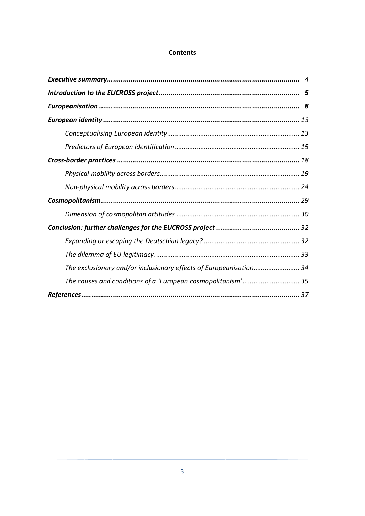## **Contents**

| The exclusionary and/or inclusionary effects of Europeanisation 34 |
|--------------------------------------------------------------------|
| The causes and conditions of a 'European cosmopolitanism' 35       |
|                                                                    |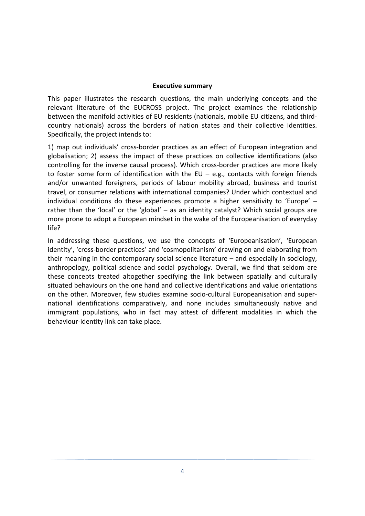#### **Executive summary**

This paper illustrates the research questions, the main underlying concepts and the relevant literature of the EUCROSS project. The project examines the relationship between the manifold activities of EU residents (nationals, mobile EU citizens, and thirdcountry nationals) across the borders of nation states and their collective identities. Specifically, the project intends to:

1) map out individuals' cross-border practices as an effect of European integration and globalisation; 2) assess the impact of these practices on collective identifications (also controlling for the inverse causal process). Which cross-border practices are more likely to foster some form of identification with the EU – e.g., contacts with foreign friends and/or unwanted foreigners, periods of labour mobility abroad, business and tourist travel, or consumer relations with international companies? Under which contextual and individual conditions do these experiences promote a higher sensitivity to 'Europe' – rather than the 'local' or the 'global' – as an identity catalyst? Which social groups are more prone to adopt a European mindset in the wake of the Europeanisation of everyday life?

In addressing these questions, we use the concepts of 'Europeanisation', 'European identity', 'cross-border practices' and 'cosmopolitanism' drawing on and elaborating from their meaning in the contemporary social science literature – and especially in sociology, anthropology, political science and social psychology. Overall, we find that seldom are these concepts treated altogether specifying the link between spatially and culturally situated behaviours on the one hand and collective identifications and value orientations on the other. Moreover, few studies examine socio-cultural Europeanisation and supernational identifications comparatively, and none includes simultaneously native and immigrant populations, who in fact may attest of different modalities in which the behaviour-identity link can take place.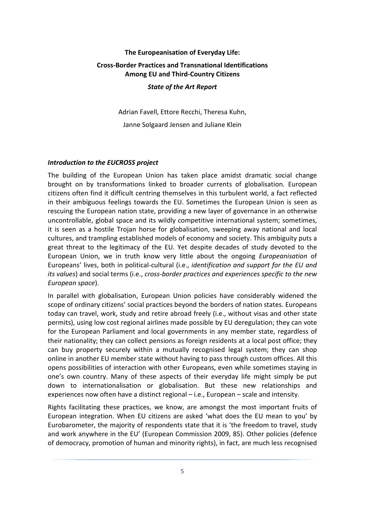# **The Europeanisation of Everyday Life: Cross-Border Practices and Transnational Identifications Among EU and Third-Country Citizens**

#### *State of the Art Report*

Adrian Favell, Ettore Recchi, Theresa Kuhn, Janne Solgaard Jensen and Juliane Klein

## *Introduction to the EUCROSS project*

The building of the European Union has taken place amidst dramatic social change brought on by transformations linked to broader currents of globalisation. European citizens often find it difficult centring themselves in this turbulent world, a fact reflected in their ambiguous feelings towards the EU. Sometimes the European Union is seen as rescuing the European nation state, providing a new layer of governance in an otherwise uncontrollable, global space and its wildly competitive international system; sometimes, it is seen as a hostile Trojan horse for globalisation, sweeping away national and local cultures, and trampling established models of economy and society. This ambiguity puts a great threat to the legitimacy of the EU. Yet despite decades of study devoted to the European Union, we in truth know very little about the ongoing *Europeanisation* of Europeans' lives, both in political-cultural (i.e., *identification and support for the EU and its values*) and social terms (i.e., *cross-border practices and experiences specific to the new European space*).

In parallel with globalisation, European Union policies have considerably widened the scope of ordinary citizens' social practices beyond the borders of nation states. Europeans today can travel, work, study and retire abroad freely (i.e., without visas and other state permits), using low cost regional airlines made possible by EU deregulation; they can vote for the European Parliament and local governments in any member state, regardless of their nationality; they can collect pensions as foreign residents at a local post office; they can buy property securely within a mutually recognised legal system; they can shop online in another EU member state without having to pass through custom offices. All this opens possibilities of interaction with other Europeans, even while sometimes staying in one's own country. Many of these aspects of their everyday life might simply be put down to internationalisation or globalisation. But these new relationships and experiences now often have a distinct regional – i.e., European – scale and intensity.

Rights facilitating these practices, we know, are amongst the most important fruits of European integration. When EU citizens are asked 'what does the EU mean to you' by Eurobarometer, the majority of respondents state that it is 'the freedom to travel, study and work anywhere in the EU' (European Commission 2009, 85). Other policies (defence of democracy, promotion of human and minority rights), in fact, are much less recognised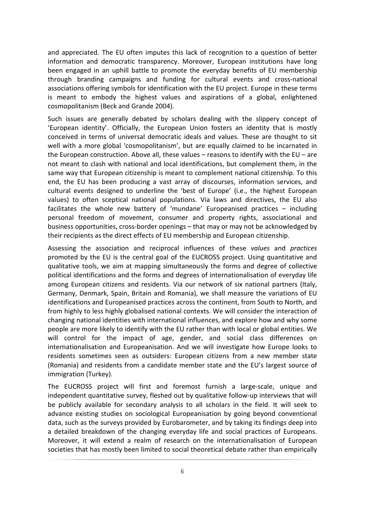and appreciated. The EU often imputes this lack of recognition to a question of better information and democratic transparency. Moreover, European institutions have long been engaged in an uphill battle to promote the everyday benefits of EU membership through branding campaigns and funding for cultural events and cross-national associations offering symbols for identification with the EU project. Europe in these terms is meant to embody the highest values and aspirations of a global, enlightened cosmopolitanism (Beck and Grande 2004).

Such issues are generally debated by scholars dealing with the slippery concept of 'European identity'. Officially, the European Union fosters an identity that is mostly conceived in terms of universal democratic ideals and values. These are thought to sit well with a more global 'cosmopolitanism', but are equally claimed to be incarnated in the European construction. Above all, these values  $-$  reasons to identify with the EU  $-$  are not meant to clash with national and local identifications, but complement them, in the same way that European citizenship is meant to complement national citizenship. To this end, the EU has been producing a vast array of discourses, information services, and cultural events designed to underline the 'best of Europe' (i.e., the highest European values) to often sceptical national populations. Via laws and directives, the EU also facilitates the whole new battery of 'mundane' Europeanised practices – including personal freedom of movement, consumer and property rights, associational and business opportunities, cross-border openings – that may or may not be acknowledged by their recipients as the direct effects of EU membership and European citizenship.

Assessing the association and reciprocal influences of these *values* and *practices* promoted by the EU is the central goal of the EUCROSS project. Using quantitative and qualitative tools, we aim at mapping simultaneously the forms and degree of collective political identifications and the forms and degrees of internationalisation of everyday life among European citizens and residents. Via our network of six national partners (Italy, Germany, Denmark, Spain, Britain and Romania), we shall measure the variations of EU identifications and Europeanised practices across the continent, from South to North, and from highly to less highly globalised national contexts. We will consider the interaction of changing national identities with international influences, and explore how and why some people are more likely to identify with the EU rather than with local or global entities. We will control for the impact of age, gender, and social class differences on internationalisation and Europeanisation. And we will investigate how Europe looks to residents sometimes seen as outsiders: European citizens from a new member state (Romania) and residents from a candidate member state and the EU's largest source of immigration (Turkey).

The EUCROSS project will first and foremost furnish a large-scale, unique and independent quantitative survey, fleshed out by qualitative follow-up interviews that will be publicly available for secondary analysis to all scholars in the field. It will seek to advance existing studies on sociological Europeanisation by going beyond conventional data, such as the surveys provided by Eurobarometer, and by taking its findings deep into a detailed breakdown of the changing everyday life and social practices of Europeans. Moreover, it will extend a realm of research on the internationalisation of European societies that has mostly been limited to social theoretical debate rather than empirically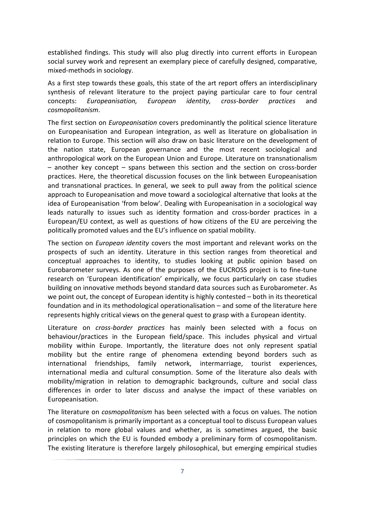established findings. This study will also plug directly into current efforts in European social survey work and represent an exemplary piece of carefully designed, comparative, mixed-methods in sociology.

As a first step towards these goals, this state of the art report offers an interdisciplinary synthesis of relevant literature to the project paying particular care to four central concepts: *Europeanisation, European identity, cross-border practices* and *cosmopolitanism*.

The first section on *Europeanisation* covers predominantly the political science literature on Europeanisation and European integration, as well as literature on globalisation in relation to Europe. This section will also draw on basic literature on the development of the nation state, European governance and the most recent sociological and anthropological work on the European Union and Europe. Literature on transnationalism – another key concept – spans between this section and the section on cross-border practices. Here, the theoretical discussion focuses on the link between Europeanisation and transnational practices. In general, we seek to pull away from the political science approach to Europeanisation and move toward a sociological alternative that looks at the idea of Europeanisation 'from below'. Dealing with Europeanisation in a sociological way leads naturally to issues such as identity formation and cross-border practices in a European/EU context, as well as questions of how citizens of the EU are perceiving the politically promoted values and the EU's influence on spatial mobility.

The section on *European identity* covers the most important and relevant works on the prospects of such an identity. Literature in this section ranges from theoretical and conceptual approaches to identity, to studies looking at public opinion based on Eurobarometer surveys. As one of the purposes of the EUCROSS project is to fine-tune research on 'European identification' empirically, we focus particularly on case studies building on innovative methods beyond standard data sources such as Eurobarometer. As we point out, the concept of European identity is highly contested – both in its theoretical foundation and in its methodological operationalisation – and some of the literature here represents highly critical views on the general quest to grasp with a European identity.

Literature on *cross-border practices* has mainly been selected with a focus on behaviour/practices in the European field/space. This includes physical and virtual mobility within Europe. Importantly, the literature does not only represent spatial mobility but the entire range of phenomena extending beyond borders such as international friendships, family network, intermarriage, tourist experiences, international media and cultural consumption. Some of the literature also deals with mobility/migration in relation to demographic backgrounds, culture and social class differences in order to later discuss and analyse the impact of these variables on Europeanisation.

The literature on *cosmopolitanism* has been selected with a focus on values. The notion of cosmopolitanism is primarily important as a conceptual tool to discuss European values in relation to more global values and whether, as is sometimes argued, the basic principles on which the EU is founded embody a preliminary form of cosmopolitanism. The existing literature is therefore largely philosophical, but emerging empirical studies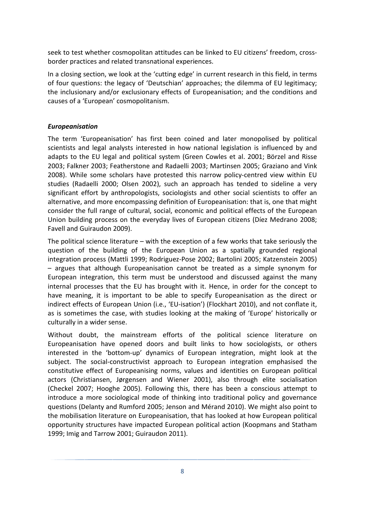seek to test whether cosmopolitan attitudes can be linked to EU citizens' freedom, crossborder practices and related transnational experiences.

In a closing section, we look at the 'cutting edge' in current research in this field, in terms of four questions: the legacy of 'Deutschian' approaches; the dilemma of EU legitimacy; the inclusionary and/or exclusionary effects of Europeanisation; and the conditions and causes of a 'European' cosmopolitanism.

## *Europeanisation*

The term 'Europeanisation' has first been coined and later monopolised by political scientists and legal analysts interested in how national legislation is influenced by and adapts to the EU legal and political system (Green Cowles et al. 2001; Börzel and Risse 2003; Falkner 2003; Featherstone and Radaelli 2003; Martinsen 2005; Graziano and Vink 2008). While some scholars have protested this narrow policy-centred view within EU studies (Radaelli 2000; Olsen 2002), such an approach has tended to sideline a very significant effort by anthropologists, sociologists and other social scientists to offer an alternative, and more encompassing definition of Europeanisation: that is, one that might consider the full range of cultural, social, economic and political effects of the European Union building process on the everyday lives of European citizens (Díez Medrano 2008; Favell and Guiraudon 2009).

The political science literature – with the exception of a few works that take seriously the question of the building of the European Union as a spatially grounded regional integration process (Mattli 1999; Rodriguez-Pose 2002; Bartolini 2005; Katzenstein 2005) – argues that although Europeanisation cannot be treated as a simple synonym for European integration, this term must be understood and discussed against the many internal processes that the EU has brought with it. Hence, in order for the concept to have meaning, it is important to be able to specify Europeanisation as the direct or indirect effects of European Union (i.e., 'EU-isation') (Flockhart 2010), and not conflate it, as is sometimes the case, with studies looking at the making of 'Europe' historically or culturally in a wider sense.

Without doubt, the mainstream efforts of the political science literature on Europeanisation have opened doors and built links to how sociologists, or others interested in the 'bottom-up' dynamics of European integration, might look at the subject. The social-constructivist approach to European integration emphasised the constitutive effect of Europeanising norms, values and identities on European political actors (Christiansen, Jørgensen and Wiener 2001), also through elite socialisation (Checkel 2007; Hooghe 2005). Following this, there has been a conscious attempt to introduce a more sociological mode of thinking into traditional policy and governance questions (Delanty and Rumford 2005; Jenson and Mérand 2010). We might also point to the mobilisation literature on Europeanisation, that has looked at how European political opportunity structures have impacted European political action (Koopmans and Statham 1999; Imig and Tarrow 2001; Guiraudon 2011).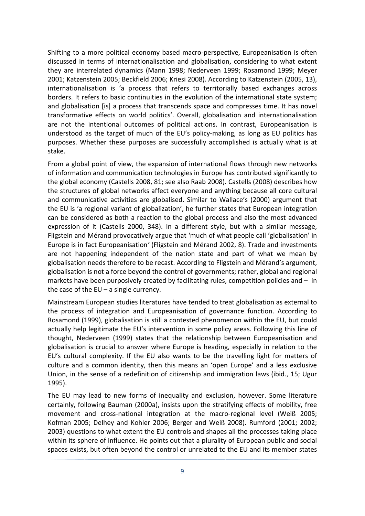Shifting to a more political economy based macro-perspective, Europeanisation is often discussed in terms of internationalisation and globalisation, considering to what extent they are interrelated dynamics (Mann 1998; Nederveen 1999; Rosamond 1999; Meyer 2001; Katzenstein 2005; Beckfield 2006; Kriesi 2008). According to Katzenstein (2005, 13), internationalisation is 'a process that refers to territorially based exchanges across borders. It refers to basic continuities in the evolution of the international state system; and globalisation [is] a process that transcends space and compresses time. It has novel transformative effects on world politics'. Overall, globalisation and internationalisation are not the intentional outcomes of political actions. In contrast, Europeanisation is understood as the target of much of the EU's policy-making, as long as EU politics has purposes. Whether these purposes are successfully accomplished is actually what is at stake.

From a global point of view, the expansion of international flows through new networks of information and communication technologies in Europe has contributed significantly to the global economy (Castells 2008, 81; see also Raab 2008). Castells (2008) describes how the structures of global networks affect everyone and anything because all core cultural and communicative activities are globalised. Similar to Wallace's (2000) argument that the EU is 'a regional variant of globalization', he further states that European integration can be considered as both a reaction to the global process and also the most advanced expression of it (Castells 2000, 348). In a different style, but with a similar message, Fligstein and Mérand provocatively argue that 'much of what people call 'globalisation' in Europe is in fact Europeanisation*'* (Fligstein and Mérand 2002, 8). Trade and investments are not happening independent of the nation state and part of what we mean by globalisation needs therefore to be recast. According to Fligstein and Mérand's argument, globalisation is not a force beyond the control of governments; rather, global and regional markets have been purposively created by facilitating rules, competition policies and – in the case of the  $EU - a$  single currency.

Mainstream European studies literatures have tended to treat globalisation as external to the process of integration and Europeanisation of governance function. According to Rosamond (1999), globalisation is still a contested phenomenon within the EU, but could actually help legitimate the EU's intervention in some policy areas. Following this line of thought, Nederveen (1999) states that the relationship between Europeanisation and globalisation is crucial to answer where Europe is heading, especially in relation to the EU's cultural complexity. If the EU also wants to be the travelling light for matters of culture and a common identity, then this means an 'open Europe' and a less exclusive Union, in the sense of a redefinition of citizenship and immigration laws (ibid., 15; Ugur 1995).

The EU may lead to new forms of inequality and exclusion, however. Some literature certainly, following Bauman (2000a), insists upon the stratifying effects of mobility, free movement and cross-national integration at the macro-regional level (Weiß 2005; Kofman 2005; Delhey and Kohler 2006; Berger and Weiß 2008). Rumford (2001; 2002; 2003) questions to what extent the EU controls and shapes all the processes taking place within its sphere of influence. He points out that a plurality of European public and social spaces exists, but often beyond the control or unrelated to the EU and its member states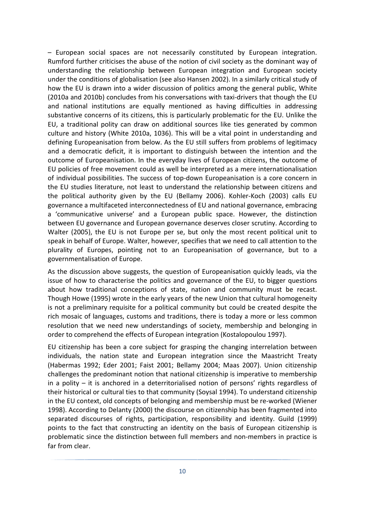– European social spaces are not necessarily constituted by European integration. Rumford further criticises the abuse of the notion of civil society as the dominant way of understanding the relationship between European integration and European society under the conditions of globalisation (see also Hansen 2002). In a similarly critical study of how the EU is drawn into a wider discussion of politics among the general public, White (2010a and 2010b) concludes from his conversations with taxi-drivers that though the EU and national institutions are equally mentioned as having difficulties in addressing substantive concerns of its citizens, this is particularly problematic for the EU. Unlike the EU, a traditional polity can draw on additional sources like ties generated by common culture and history (White 2010a, 1036). This will be a vital point in understanding and defining Europeanisation from below. As the EU still suffers from problems of legitimacy and a democratic deficit, it is important to distinguish between the intention and the outcome of Europeanisation. In the everyday lives of European citizens, the outcome of EU policies of free movement could as well be interpreted as a mere internationalisation of individual possibilities. The success of top-down Europeanisation is a core concern in the EU studies literature, not least to understand the relationship between citizens and the political authority given by the EU (Bellamy 2006). Kohler-Koch (2003) calls EU governance a multifaceted interconnectedness of EU and national governance, embracing a 'communicative universe' and a European public space. However, the distinction between EU governance and European governance deserves closer scrutiny. According to Walter (2005), the EU is not Europe per se, but only the most recent political unit to speak in behalf of Europe. Walter, however, specifies that we need to call attention to the plurality of Europes, pointing not to an Europeanisation of governance, but to a governmentalisation of Europe.

As the discussion above suggests, the question of Europeanisation quickly leads, via the issue of how to characterise the politics and governance of the EU, to bigger questions about how traditional conceptions of state, nation and community must be recast. Though Howe (1995) wrote in the early years of the new Union that cultural homogeneity is not a preliminary requisite for a political community but could be created despite the rich mosaic of languages, customs and traditions, there is today a more or less common resolution that we need new understandings of society, membership and belonging in order to comprehend the effects of European integration (Kostalopoulou 1997).

EU citizenship has been a core subject for grasping the changing interrelation between individuals, the nation state and European integration since the Maastricht Treaty (Habermas 1992; Eder 2001; Faist 2001; Bellamy 2004; Maas 2007). Union citizenship challenges the predominant notion that national citizenship is imperative to membership in a polity – it is anchored in a deterritorialised notion of persons' rights regardless of their historical or cultural ties to that community (Soysal 1994). To understand citizenship in the EU context, old concepts of belonging and membership must be re-worked (Wiener 1998). According to Delanty (2000) the discourse on citizenship has been fragmented into separated discourses of rights, participation, responsibility and identity. Guild (1999) points to the fact that constructing an identity on the basis of European citizenship is problematic since the distinction between full members and non-members in practice is far from clear.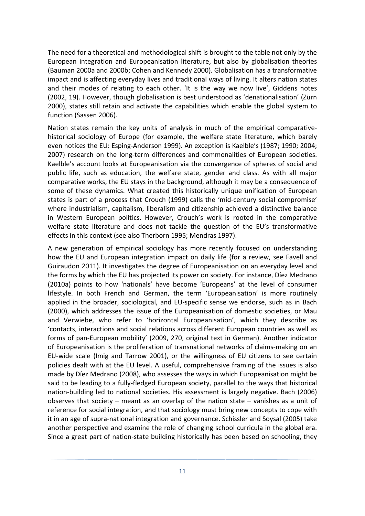The need for a theoretical and methodological shift is brought to the table not only by the European integration and Europeanisation literature, but also by globalisation theories (Bauman 2000a and 2000b; Cohen and Kennedy 2000). Globalisation has a transformative impact and is affecting everyday lives and traditional ways of living. It alters nation states and their modes of relating to each other. 'It is the way we now live', Giddens notes (2002, 19). However, though globalisation is best understood as 'denationalisation' (Zürn 2000), states still retain and activate the capabilities which enable the global system to function (Sassen 2006).

Nation states remain the key units of analysis in much of the empirical comparativehistorical sociology of Europe (for example, the welfare state literature, which barely even notices the EU: Esping-Anderson 1999). An exception is Kaelble's (1987; 1990; 2004; 2007) research on the long-term differences and commonalities of European societies. Kaelble's account looks at Europeanisation via the convergence of spheres of social and public life, such as education, the welfare state, gender and class. As with all major comparative works, the EU stays in the background, although it may be a consequence of some of these dynamics. What created this historically unique unification of European states is part of a process that Crouch (1999) calls the 'mid-century social compromise' where industrialism, capitalism, liberalism and citizenship achieved a distinctive balance in Western European politics. However, Crouch's work is rooted in the comparative welfare state literature and does not tackle the question of the EU's transformative effects in this context (see also Therborn 1995; Mendras 1997).

A new generation of empirical sociology has more recently focused on understanding how the EU and European integration impact on daily life (for a review, see Favell and Guiraudon 2011). It investigates the degree of Europeanisation on an everyday level and the forms by which the EU has projected its power on society. For instance, Díez Medrano (2010a) points to how 'nationals' have become 'Europeans' at the level of consumer lifestyle. In both French and German, the term 'Europeanisation' is more routinely applied in the broader, sociological, and EU-specific sense we endorse, such as in Bach (2000), which addresses the issue of the Europeanisation of domestic societies, or Mau and Verwiebe, who refer to 'horizontal Europeanisation', which they describe as 'contacts, interactions and social relations across different European countries as well as forms of pan-European mobility' (2009, 270, original text in German). Another indicator of Europeanisation is the proliferation of transnational networks of claims-making on an EU-wide scale (Imig and Tarrow 2001), or the willingness of EU citizens to see certain policies dealt with at the EU level. A useful, comprehensive framing of the issues is also made by Díez Medrano (2008), who assesses the ways in which Europeanisation might be said to be leading to a fully-fledged European society, parallel to the ways that historical nation-building led to national societies. His assessment is largely negative. Bach (2006) observes that society – meant as an overlap of the nation state – vanishes as a unit of reference for social integration, and that sociology must bring new concepts to cope with it in an age of supra-national integration and governance. Schissler and Soysal (2005) take another perspective and examine the role of changing school curricula in the global era. Since a great part of nation-state building historically has been based on schooling, they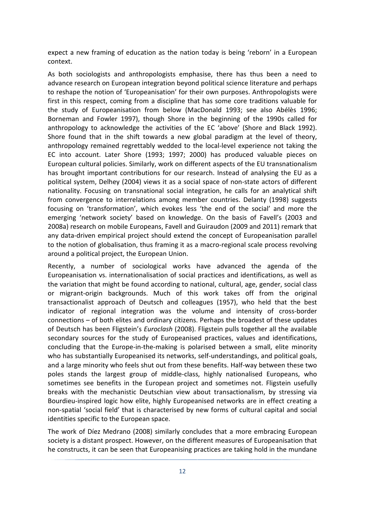expect a new framing of education as the nation today is being 'reborn' in a European context.

As both sociologists and anthropologists emphasise, there has thus been a need to advance research on European integration beyond political science literature and perhaps to reshape the notion of 'Europeanisation' for their own purposes. Anthropologists were first in this respect, coming from a discipline that has some core traditions valuable for the study of Europeanisation from below (MacDonald 1993; see also Abélès 1996; Borneman and Fowler 1997), though Shore in the beginning of the 1990s called for anthropology to acknowledge the activities of the EC 'above' (Shore and Black 1992). Shore found that in the shift towards a new global paradigm at the level of theory, anthropology remained regrettably wedded to the local-level experience not taking the EC into account. Later Shore (1993; 1997; 2000) has produced valuable pieces on European cultural policies. Similarly, work on different aspects of the EU transnationalism has brought important contributions for our research. Instead of analysing the EU as a political system, Delhey (2004) views it as a social space of non-state actors of different nationality. Focusing on transnational social integration, he calls for an analytical shift from convergence to interrelations among member countries. Delanty (1998) suggests focusing on 'transformation', which evokes less 'the end of the social' and more the emerging 'network society' based on knowledge. On the basis of Favell's (2003 and 2008a) research on mobile Europeans, Favell and Guiraudon (2009 and 2011) remark that any data-driven empirical project should extend the concept of Europeanisation parallel to the notion of globalisation, thus framing it as a macro-regional scale process revolving around a political project, the European Union.

Recently, a number of sociological works have advanced the agenda of the Europeanisation vs. internationalisation of social practices and identifications, as well as the variation that might be found according to national, cultural, age, gender, social class or migrant-origin backgrounds. Much of this work takes off from the original transactionalist approach of Deutsch and colleagues (1957), who held that the best indicator of regional integration was the volume and intensity of cross-border connections – of both elites and ordinary citizens. Perhaps the broadest of these updates of Deutsch has been Fligstein's *Euroclash* (2008). Fligstein pulls together all the available secondary sources for the study of Europeanised practices, values and identifications, concluding that the Europe-in-the-making is polarised between a small, elite minority who has substantially Europeanised its networks, self-understandings, and political goals, and a large minority who feels shut out from these benefits. Half-way between these two poles stands the largest group of middle-class, highly nationalised Europeans, who sometimes see benefits in the European project and sometimes not. Fligstein usefully breaks with the mechanistic Deutschian view about transactionalism, by stressing via Bourdieu-inspired logic how elite, highly Europeanised networks are in effect creating a non-spatial 'social field' that is characterised by new forms of cultural capital and social identities specific to the European space.

The work of Díez Medrano (2008) similarly concludes that a more embracing European society is a distant prospect. However, on the different measures of Europeanisation that he constructs, it can be seen that Europeanising practices are taking hold in the mundane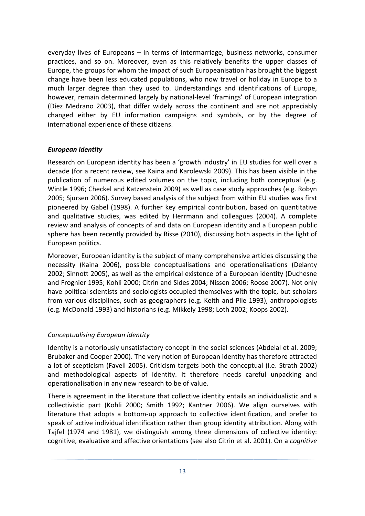everyday lives of Europeans – in terms of intermarriage, business networks, consumer practices, and so on. Moreover, even as this relatively benefits the upper classes of Europe, the groups for whom the impact of such Europeanisation has brought the biggest change have been less educated populations, who now travel or holiday in Europe to a much larger degree than they used to. Understandings and identifications of Europe, however, remain determined largely by national-level 'framings' of European integration (Díez Medrano 2003), that differ widely across the continent and are not appreciably changed either by EU information campaigns and symbols, or by the degree of international experience of these citizens.

#### *European identity*

Research on European identity has been a 'growth industry' in EU studies for well over a decade (for a recent review, see Kaina and Karolewski 2009). This has been visible in the publication of numerous edited volumes on the topic, including both conceptual (e.g. Wintle 1996; Checkel and Katzenstein 2009) as well as case study approaches (e.g. Robyn 2005; Sjursen 2006). Survey based analysis of the subject from within EU studies was first pioneered by Gabel (1998). A further key empirical contribution, based on quantitative and qualitative studies, was edited by Herrmann and colleagues (2004). A complete review and analysis of concepts of and data on European identity and a European public sphere has been recently provided by Risse (2010), discussing both aspects in the light of European politics.

Moreover, European identity is the subject of many comprehensive articles discussing the necessity (Kaina 2006), possible conceptualisations and operationalisations (Delanty 2002; Sinnott 2005), as well as the empirical existence of a European identity (Duchesne and Frognier 1995; Kohli 2000; Citrin and Sides 2004; Nissen 2006; Roose 2007). Not only have political scientists and sociologists occupied themselves with the topic, but scholars from various disciplines, such as geographers (e.g. Keith and Pile 1993), anthropologists (e.g. McDonald 1993) and historians (e.g. Mikkely 1998; Loth 2002; Koops 2002).

## *Conceptualising European identity*

Identity is a notoriously unsatisfactory concept in the social sciences (Abdelal et al. 2009; Brubaker and Cooper 2000). The very notion of European identity has therefore attracted a lot of scepticism (Favell 2005). Criticism targets both the conceptual (i.e. Strath 2002) and methodological aspects of identity. It therefore needs careful unpacking and operationalisation in any new research to be of value.

There is agreement in the literature that collective identity entails an individualistic and a collectivistic part (Kohli 2000; Smith 1992; Kantner 2006). We align ourselves with literature that adopts a bottom-up approach to collective identification, and prefer to speak of active individual identification rather than group identity attribution. Along with Tajfel (1974 and 1981), we distinguish among three dimensions of collective identity: cognitive, evaluative and affective orientations (see also Citrin et al. 2001). On a *cognitive*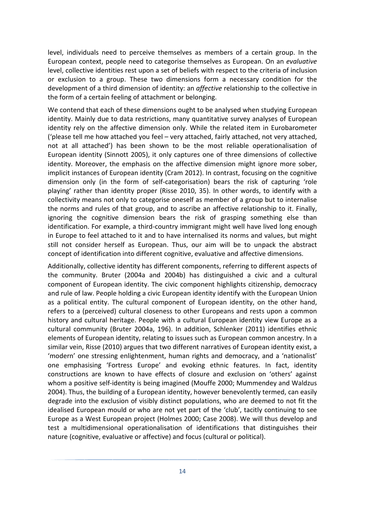level, individuals need to perceive themselves as members of a certain group. In the European context, people need to categorise themselves as European. On an *evaluative* level, collective identities rest upon a set of beliefs with respect to the criteria of inclusion or exclusion to a group. These two dimensions form a necessary condition for the development of a third dimension of identity: an *affective* relationship to the collective in the form of a certain feeling of attachment or belonging.

We contend that each of these dimensions ought to be analysed when studying European identity. Mainly due to data restrictions, many quantitative survey analyses of European identity rely on the affective dimension only. While the related item in Eurobarometer ('please tell me how attached you feel – very attached, fairly attached, not very attached, not at all attached') has been shown to be the most reliable operationalisation of European identity (Sinnott 2005), it only captures one of three dimensions of collective identity. Moreover, the emphasis on the affective dimension might ignore more sober, implicit instances of European identity (Cram 2012). In contrast, focusing on the cognitive dimension only (in the form of self-categorisation) bears the risk of capturing 'role playing' rather than identity proper (Risse 2010, 35). In other words, to identify with a collectivity means not only to categorise oneself as member of a group but to internalise the norms and rules of that group, and to ascribe an affective relationship to it. Finally, ignoring the cognitive dimension bears the risk of grasping something else than identification. For example, a third-country immigrant might well have lived long enough in Europe to feel attached to it and to have internalised its norms and values, but might still not consider herself as European. Thus, our aim will be to unpack the abstract concept of identification into different cognitive, evaluative and affective dimensions.

Additionally, collective identity has different components, referring to different aspects of the community. Bruter (2004a and 2004b) has distinguished a civic and a cultural component of European identity. The civic component highlights citizenship, democracy and rule of law. People holding a civic European identity identify with the European Union as a political entity. The cultural component of European identity, on the other hand, refers to a (perceived) cultural closeness to other Europeans and rests upon a common history and cultural heritage. People with a cultural European identity view Europe as a cultural community (Bruter 2004a, 196). In addition, Schlenker (2011) identifies ethnic elements of European identity, relating to issues such as European common ancestry. In a similar vein, Risse (2010) argues that two different narratives of European identity exist, a 'modern' one stressing enlightenment, human rights and democracy, and a 'nationalist' one emphasising 'Fortress Europe' and evoking ethnic features. In fact, identity constructions are known to have effects of closure and exclusion on 'others' against whom a positive self-identity is being imagined (Mouffe 2000; Mummendey and Waldzus 2004). Thus, the building of a European identity, however benevolently termed, can easily degrade into the exclusion of visibly distinct populations, who are deemed to not fit the idealised European mould or who are not yet part of the 'club', tacitly continuing to see Europe as a West European project (Holmes 2000; Case 2008). We will thus develop and test a multidimensional operationalisation of identifications that distinguishes their nature (cognitive, evaluative or affective) and focus (cultural or political).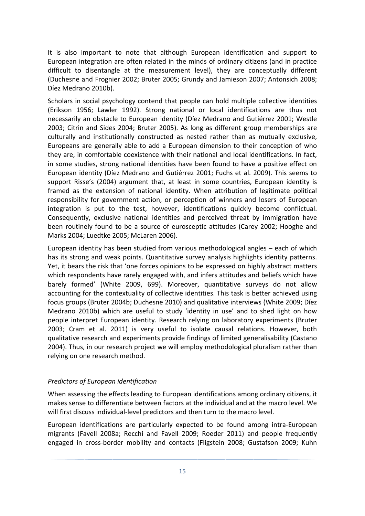It is also important to note that although European identification and support to European integration are often related in the minds of ordinary citizens (and in practice difficult to disentangle at the measurement level), they are conceptually different (Duchesne and Frognier 2002; Bruter 2005; Grundy and Jamieson 2007; Antonsich 2008; Díez Medrano 2010b).

Scholars in social psychology contend that people can hold multiple collective identities (Erikson 1956; Lawler 1992). Strong national or local identifications are thus not necessarily an obstacle to European identity (Díez Medrano and Gutiérrez 2001; Westle 2003; Citrin and Sides 2004; Bruter 2005). As long as different group memberships are culturally and institutionally constructed as nested rather than as mutually exclusive, Europeans are generally able to add a European dimension to their conception of who they are, in comfortable coexistence with their national and local identifications. In fact, in some studies, strong national identities have been found to have a positive effect on European identity (Díez Medrano and Gutiérrez 2001; Fuchs et al. 2009). This seems to support Risse's (2004) argument that, at least in some countries, European identity is framed as the extension of national identity. When attribution of legitimate political responsibility for government action, or perception of winners and losers of European integration is put to the test, however, identifications quickly become conflictual. Consequently, exclusive national identities and perceived threat by immigration have been routinely found to be a source of eurosceptic attitudes (Carey 2002; Hooghe and Marks 2004; Luedtke 2005; McLaren 2006).

European identity has been studied from various methodological angles – each of which has its strong and weak points. Quantitative survey analysis highlights identity patterns. Yet, it bears the risk that 'one forces opinions to be expressed on highly abstract matters which respondents have rarely engaged with, and infers attitudes and beliefs which have barely formed' (White 2009, 699). Moreover, quantitative surveys do not allow accounting for the contextuality of collective identities. This task is better achieved using focus groups (Bruter 2004b; Duchesne 2010) and qualitative interviews (White 2009; Díez Medrano 2010b) which are useful to study 'identity in use' and to shed light on how people interpret European identity. Research relying on laboratory experiments (Bruter 2003; Cram et al. 2011) is very useful to isolate causal relations. However, both qualitative research and experiments provide findings of limited generalisability (Castano 2004). Thus, in our research project we will employ methodological pluralism rather than relying on one research method.

#### *Predictors of European identification*

When assessing the effects leading to European identifications among ordinary citizens, it makes sense to differentiate between factors at the individual and at the macro level. We will first discuss individual-level predictors and then turn to the macro level.

European identifications are particularly expected to be found among intra-European migrants (Favell 2008a; Recchi and Favell 2009; Roeder 2011) and people frequently engaged in cross-border mobility and contacts (Fligstein 2008; Gustafson 2009; Kuhn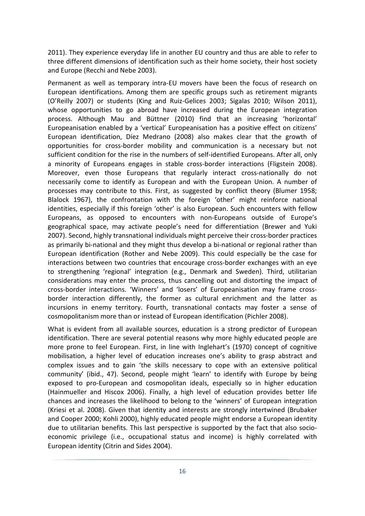2011). They experience everyday life in another EU country and thus are able to refer to three different dimensions of identification such as their home society, their host society and Europe (Recchi and Nebe 2003).

Permanent as well as temporary intra-EU movers have been the focus of research on European identifications. Among them are specific groups such as retirement migrants (O'Reilly 2007) or students (King and Ruiz-Gelices 2003; Sigalas 2010; Wilson 2011), whose opportunities to go abroad have increased during the European integration process. Although Mau and Büttner (2010) find that an increasing 'horizontal' Europeanisation enabled by a 'vertical' Europeanisation has a positive effect on citizens' European identification, Díez Medrano (2008) also makes clear that the growth of opportunities for cross-border mobility and communication is a necessary but not sufficient condition for the rise in the numbers of self-identified Europeans. After all, only a minority of Europeans engages in stable cross-border interactions (Fligstein 2008). Moreover, even those Europeans that regularly interact cross-nationally do not necessarily come to identify as European and with the European Union. A number of processes may contribute to this. First, as suggested by conflict theory (Blumer 1958; Blalock 1967), the confrontation with the foreign 'other' might reinforce national identities, especially if this foreign 'other' is also European. Such encounters with fellow Europeans, as opposed to encounters with non-Europeans outside of Europe's geographical space, may activate people's need for differentiation (Brewer and Yuki 2007). Second, highly transnational individuals might perceive their cross-border practices as primarily bi-national and they might thus develop a bi-national or regional rather than European identification (Rother and Nebe 2009). This could especially be the case for interactions between two countries that encourage cross-border exchanges with an eye to strengthening 'regional' integration (e.g., Denmark and Sweden). Third, utilitarian considerations may enter the process, thus cancelling out and distorting the impact of cross-border interactions. 'Winners' and 'losers' of Europeanisation may frame crossborder interaction differently, the former as cultural enrichment and the latter as incursions in enemy territory. Fourth, transnational contacts may foster a sense of cosmopolitanism more than or instead of European identification (Pichler 2008).

What is evident from all available sources, education is a strong predictor of European identification. There are several potential reasons why more highly educated people are more prone to feel European. First, in line with Inglehart's (1970) concept of cognitive mobilisation, a higher level of education increases one's ability to grasp abstract and complex issues and to gain 'the skills necessary to cope with an extensive political community' (ibid., 47). Second, people might 'learn' to identify with Europe by being exposed to pro-European and cosmopolitan ideals, especially so in higher education (Hainmueller and Hiscox 2006). Finally, a high level of education provides better life chances and increases the likelihood to belong to the 'winners' of European integration (Kriesi et al. 2008). Given that identity and interests are strongly intertwined (Brubaker and Cooper 2000; Kohli 2000), highly educated people might endorse a European identity due to utilitarian benefits. This last perspective is supported by the fact that also socioeconomic privilege (i.e., occupational status and income) is highly correlated with European identity (Citrin and Sides 2004).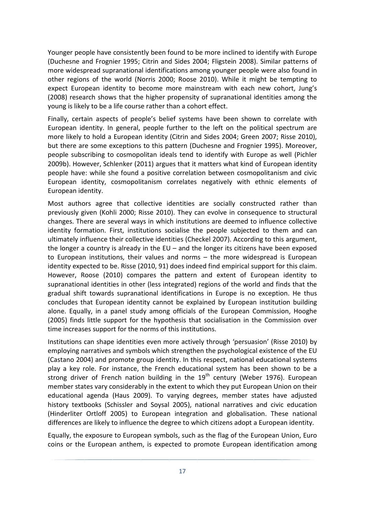Younger people have consistently been found to be more inclined to identify with Europe (Duchesne and Frognier 1995; Citrin and Sides 2004; Fligstein 2008). Similar patterns of more widespread supranational identifications among younger people were also found in other regions of the world (Norris 2000; Roose 2010). While it might be tempting to expect European identity to become more mainstream with each new cohort, Jung's (2008) research shows that the higher propensity of supranational identities among the young is likely to be a life course rather than a cohort effect.

Finally, certain aspects of people's belief systems have been shown to correlate with European identity. In general, people further to the left on the political spectrum are more likely to hold a European identity (Citrin and Sides 2004; Green 2007; Risse 2010), but there are some exceptions to this pattern (Duchesne and Frognier 1995). Moreover, people subscribing to cosmopolitan ideals tend to identify with Europe as well (Pichler 2009b). However, Schlenker (2011) argues that it matters what kind of European identity people have: while she found a positive correlation between cosmopolitanism and civic European identity, cosmopolitanism correlates negatively with ethnic elements of European identity.

Most authors agree that collective identities are socially constructed rather than previously given (Kohli 2000; Risse 2010). They can evolve in consequence to structural changes. There are several ways in which institutions are deemed to influence collective identity formation. First, institutions socialise the people subjected to them and can ultimately influence their collective identities (Checkel 2007). According to this argument, the longer a country is already in the EU – and the longer its citizens have been exposed to European institutions, their values and norms – the more widespread is European identity expected to be. Risse (2010, 91) does indeed find empirical support for this claim. However, Roose (2010) compares the pattern and extent of European identity to supranational identities in other (less integrated) regions of the world and finds that the gradual shift towards supranational identifications in Europe is no exception. He thus concludes that European identity cannot be explained by European institution building alone. Equally, in a panel study among officials of the European Commission, Hooghe (2005) finds little support for the hypothesis that socialisation in the Commission over time increases support for the norms of this institutions.

Institutions can shape identities even more actively through 'persuasion' (Risse 2010) by employing narratives and symbols which strengthen the psychological existence of the EU (Castano 2004) and promote group identity. In this respect, national educational systems play a key role. For instance, the French educational system has been shown to be a strong driver of French nation building in the  $19<sup>th</sup>$  century (Weber 1976). European member states vary considerably in the extent to which they put European Union on their educational agenda (Haus 2009). To varying degrees, member states have adjusted history textbooks (Schissler and Soysal 2005), national narratives and civic education (Hinderliter Ortloff 2005) to European integration and globalisation. These national differences are likely to influence the degree to which citizens adopt a European identity.

Equally, the exposure to European symbols, such as the flag of the European Union, Euro coins or the European anthem, is expected to promote European identification among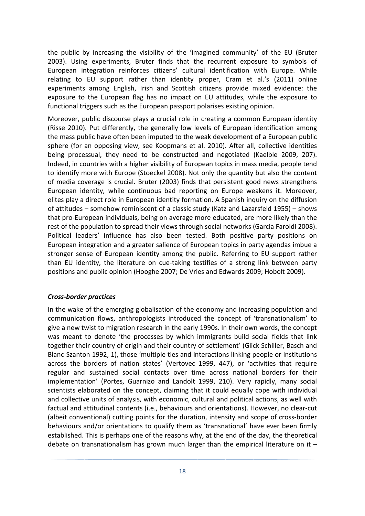the public by increasing the visibility of the 'imagined community' of the EU (Bruter 2003). Using experiments, Bruter finds that the recurrent exposure to symbols of European integration reinforces citizens' cultural identification with Europe. While relating to EU support rather than identity proper, Cram et al.'s (2011) online experiments among English, Irish and Scottish citizens provide mixed evidence: the exposure to the European flag has no impact on EU attitudes, while the exposure to functional triggers such as the European passport polarises existing opinion.

Moreover, public discourse plays a crucial role in creating a common European identity (Risse 2010). Put differently, the generally low levels of European identification among the mass public have often been imputed to the weak development of a European public sphere (for an opposing view, see Koopmans et al. 2010). After all, collective identities being processual, they need to be constructed and negotiated (Kaelble 2009, 207). Indeed, in countries with a higher visibility of European topics in mass media, people tend to identify more with Europe (Stoeckel 2008). Not only the quantity but also the content of media coverage is crucial. Bruter (2003) finds that persistent good news strengthens European identity, while continuous bad reporting on Europe weakens it. Moreover, elites play a direct role in European identity formation. A Spanish inquiry on the diffusion of attitudes – somehow reminiscent of a classic study (Katz and Lazarsfeld 1955) – shows that pro-European individuals, being on average more educated, are more likely than the rest of the population to spread their views through social networks (Garcia Faroldi 2008). Political leaders' influence has also been tested. Both positive party positions on European integration and a greater salience of European topics in party agendas imbue a stronger sense of European identity among the public. Referring to EU support rather than EU identity, the literature on cue-taking testifies of a strong link between party positions and public opinion (Hooghe 2007; De Vries and Edwards 2009; Hobolt 2009).

#### *Cross-border practices*

In the wake of the emerging globalisation of the economy and increasing population and communication flows, anthropologists introduced the concept of 'transnationalism' to give a new twist to migration research in the early 1990s. In their own words, the concept was meant to denote 'the processes by which immigrants build social fields that link together their country of origin and their country of settlement' (Glick Schiller, Basch and Blanc-Szanton 1992, 1), those 'multiple ties and interactions linking people or institutions across the borders of nation states' (Vertovec 1999, 447), or 'activities that require regular and sustained social contacts over time across national borders for their implementation' (Portes, Guarnizo and Landolt 1999, 210). Very rapidly, many social scientists elaborated on the concept, claiming that it could equally cope with individual and collective units of analysis, with economic, cultural and political actions, as well with factual and attitudinal contents (i.e., behaviours and orientations). However, no clear-cut (albeit conventional) cutting points for the duration, intensity and scope of cross-border behaviours and/or orientations to qualify them as 'transnational' have ever been firmly established. This is perhaps one of the reasons why, at the end of the day, the theoretical debate on transnationalism has grown much larger than the empirical literature on it  $-$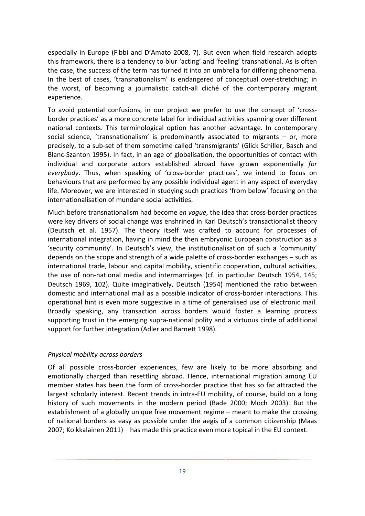especially in Europe (Fibbi and D'Amato 2008, 7). But even when field research adopts this framework, there is a tendency to blur 'acting' and 'feeling' transnational. As is often the case, the success of the term has turned it into an umbrella for differing phenomena. In the best of cases, 'transnationalism' is endangered of conceptual over-stretching; in the worst, of becoming a journalistic catch-all cliché of the contemporary migrant experience.

To avoid potential confusions, in our project we prefer to use the concept of 'crossborder practices' as a more concrete label for individual activities spanning over different national contexts. This terminological option has another advantage. In contemporary social science, 'transnationalism' is predominantly associated to migrants – or, more precisely, to a sub-set of them sometime called 'transmigrants' (Glick Schiller, Basch and Blanc-Szanton 1995). In fact, in an age of globalisation, the opportunities of contact with individual and corporate actors established abroad have grown exponentially *for everybody*. Thus, when speaking of 'cross-border practices', we intend to focus on behaviours that are performed by any possible individual agent in any aspect of everyday life. Moreover, we are interested in studying such practices 'from below' focusing on the internationalisation of mundane social activities.

Much before transnationalism had become *en vogue*, the idea that cross-border practices were key drivers of social change was enshrined in Karl Deutsch's transactionalist theory (Deutsch et al. 1957). The theory itself was crafted to account for processes of international integration, having in mind the then embryonic European construction as a 'security community'. In Deutsch's view, the institutionalisation of such a 'community' depends on the scope and strength of a wide palette of cross-border exchanges – such as international trade, labour and capital mobility, scientific cooperation, cultural activities, the use of non-national media and intermarriages (cf. in particular Deutsch 1954, 145; Deutsch 1969, 102). Quite imaginatively, Deutsch (1954) mentioned the ratio between domestic and international mail as a possible indicator of cross-border interactions. This operational hint is even more suggestive in a time of generalised use of electronic mail. Broadly speaking, any transaction across borders would foster a learning process supporting trust in the emerging supra-national polity and a virtuous circle of additional support for further integration (Adler and Barnett 1998).

#### *Physical mobility across borders*

Of all possible cross-border experiences, few are likely to be more absorbing and emotionally charged than resettling abroad. Hence, international migration among EU member states has been the form of cross-border practice that has so far attracted the largest scholarly interest. Recent trends in intra-EU mobility, of course, build on a long history of such movements in the modern period (Bade 2000; Moch 2003). But the establishment of a globally unique free movement regime – meant to make the crossing of national borders as easy as possible under the aegis of a common citizenship (Maas 2007; Koikkalainen 2011) – has made this practice even more topical in the EU context.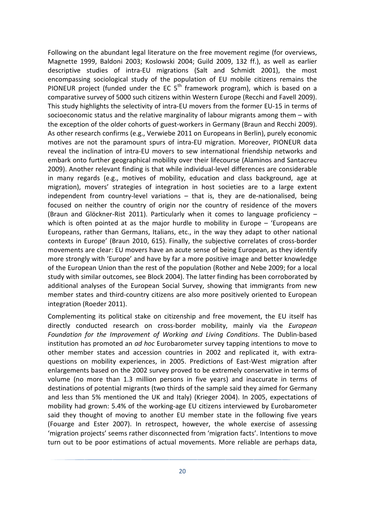Following on the abundant legal literature on the free movement regime (for overviews, Magnette 1999, Baldoni 2003; Koslowski 2004; Guild 2009, 132 ff.), as well as earlier descriptive studies of intra-EU migrations (Salt and Schmidt 2001), the most encompassing sociological study of the population of EU mobile citizens remains the PIONEUR project (funded under the EC  $5<sup>th</sup>$  framework program), which is based on a comparative survey of 5000 such citizens within Western Europe (Recchi and Favell 2009). This study highlights the selectivity of intra-EU movers from the former EU-15 in terms of socioeconomic status and the relative marginality of labour migrants among them – with the exception of the older cohorts of guest-workers in Germany (Braun and Recchi 2009). As other research confirms (e.g., Verwiebe 2011 on Europeans in Berlin), purely economic motives are not the paramount spurs of intra-EU migration. Moreover, PIONEUR data reveal the inclination of intra-EU movers to sew international friendship networks and embark onto further geographical mobility over their lifecourse (Alaminos and Santacreu 2009). Another relevant finding is that while individual-level differences are considerable in many regards (e.g., motives of mobility, education and class background, age at migration), movers' strategies of integration in host societies are to a large extent independent from country-level variations – that is, they are de-nationalised, being focused on neither the country of origin nor the country of residence of the movers (Braun and Glöckner-Rist 2011). Particularly when it comes to language proficiency – which is often pointed at as the major hurdle to mobility in Europe  $-$  'Europeans are Europeans, rather than Germans, Italians, etc., in the way they adapt to other national contexts in Europe' (Braun 2010, 615). Finally, the subjective correlates of cross-border movements are clear: EU movers have an acute sense of being European, as they identify more strongly with 'Europe' and have by far a more positive image and better knowledge of the European Union than the rest of the population (Rother and Nebe 2009; for a local study with similar outcomes, see Block 2004). The latter finding has been corroborated by additional analyses of the European Social Survey, showing that immigrants from new member states and third-country citizens are also more positively oriented to European integration (Roeder 2011).

Complementing its political stake on citizenship and free movement, the EU itself has directly conducted research on cross-border mobility, mainly via the *European Foundation for the Improvement of Working and Living Conditions*. The Dublin-based institution has promoted an *ad hoc* Eurobarometer survey tapping intentions to move to other member states and accession countries in 2002 and replicated it, with extraquestions on mobility experiences, in 2005. Predictions of East-West migration after enlargements based on the 2002 survey proved to be extremely conservative in terms of volume (no more than 1.3 million persons in five years) and inaccurate in terms of destinations of potential migrants (two thirds of the sample said they aimed for Germany and less than 5% mentioned the UK and Italy) (Krieger 2004). In 2005, expectations of mobility had grown: 5.4% of the working-age EU citizens interviewed by Eurobarometer said they thought of moving to another EU member state in the following five years (Fouarge and Ester 2007). In retrospect, however, the whole exercise of assessing 'migration projects' seems rather disconnected from 'migration facts'. Intentions to move turn out to be poor estimations of actual movements. More reliable are perhaps data,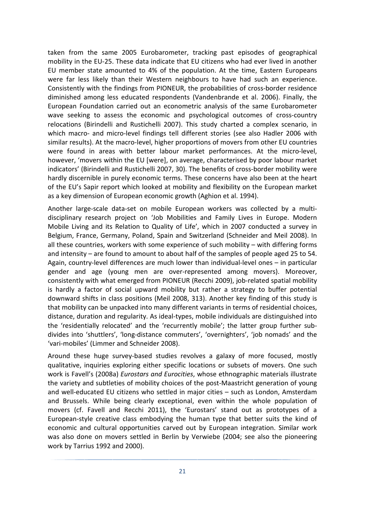taken from the same 2005 Eurobarometer, tracking past episodes of geographical mobility in the EU-25. These data indicate that EU citizens who had ever lived in another EU member state amounted to 4% of the population. At the time, Eastern Europeans were far less likely than their Western neighbours to have had such an experience. Consistently with the findings from PIONEUR, the probabilities of cross-border residence diminished among less educated respondents (Vandenbrande et al. 2006). Finally, the European Foundation carried out an econometric analysis of the same Eurobarometer wave seeking to assess the economic and psychological outcomes of cross-country relocations (Birindelli and Rustichelli 2007). This study charted a complex scenario, in which macro- and micro-level findings tell different stories (see also Hadler 2006 with similar results). At the macro-level, higher proportions of movers from other EU countries were found in areas with better labour market performances. At the micro-level, however, 'movers within the EU [were], on average, characterised by poor labour market indicators' (Birindelli and Rustichelli 2007, 30). The benefits of cross-border mobility were hardly discernible in purely economic terms. These concerns have also been at the heart of the EU's Sapir report which looked at mobility and flexibility on the European market as a key dimension of European economic growth (Aghion et al. 1994).

Another large-scale data-set on mobile European workers was collected by a multidisciplinary research project on 'Job Mobilities and Family Lives in Europe. Modern Mobile Living and its Relation to Quality of Life', which in 2007 conducted a survey in Belgium, France, Germany, Poland, Spain and Switzerland (Schneider and Meil 2008). In all these countries, workers with some experience of such mobility – with differing forms and intensity – are found to amount to about half of the samples of people aged 25 to 54. Again, country-level differences are much lower than individual-level ones – in particular gender and age (young men are over-represented among movers). Moreover, consistently with what emerged from PIONEUR (Recchi 2009), job-related spatial mobility is hardly a factor of social upward mobility but rather a strategy to buffer potential downward shifts in class positions (Meil 2008, 313). Another key finding of this study is that mobility can be unpacked into many different variants in terms of residential choices, distance, duration and regularity. As ideal-types, mobile individuals are distinguished into the 'residentially relocated' and the 'recurrently mobile'; the latter group further subdivides into 'shuttlers', 'long-distance commuters', 'overnighters', 'job nomads' and the 'vari-mobiles' (Limmer and Schneider 2008).

Around these huge survey-based studies revolves a galaxy of more focused, mostly qualitative, inquiries exploring either specific locations or subsets of movers. One such work is Favell's (2008a) *Eurostars and Eurocities*, whose ethnographic materials illustrate the variety and subtleties of mobility choices of the post-Maastricht generation of young and well-educated EU citizens who settled in major cities – such as London, Amsterdam and Brussels. While being clearly exceptional, even within the whole population of movers (cf. Favell and Recchi 2011), the 'Eurostars' stand out as prototypes of a European-style creative class embodying the human type that better suits the kind of economic and cultural opportunities carved out by European integration. Similar work was also done on movers settled in Berlin by Verwiebe (2004; see also the pioneering work by Tarrius 1992 and 2000).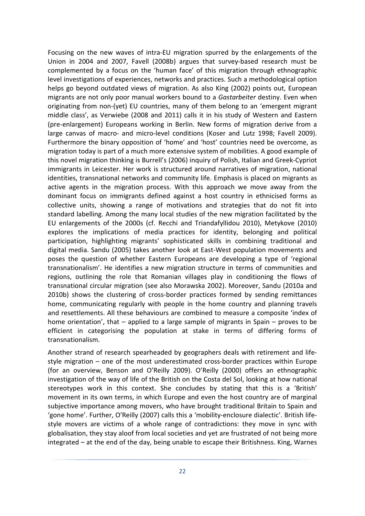Focusing on the new waves of intra-EU migration spurred by the enlargements of the Union in 2004 and 2007, Favell (2008b) argues that survey-based research must be complemented by a focus on the 'human face' of this migration through ethnographic level investigations of experiences, networks and practices. Such a methodological option helps go beyond outdated views of migration. As also King (2002) points out, European migrants are not only poor manual workers bound to a *Gastarbeiter* destiny. Even when originating from non-(yet) EU countries, many of them belong to an 'emergent migrant middle class', as Verwiebe (2008 and 2011) calls it in his study of Western and Eastern (pre-enlargement) Europeans working in Berlin. New forms of migration derive from a large canvas of macro- and micro-level conditions (Koser and Lutz 1998; Favell 2009). Furthermore the binary opposition of 'home' and 'host' countries need be overcome, as migration today is part of a much more extensive system of mobilities. A good example of this novel migration thinking is Burrell's (2006) inquiry of Polish, Italian and Greek-Cypriot immigrants in Leicester. Her work is structured around narratives of migration, national identities, transnational networks and community life. Emphasis is placed on migrants as active agents in the migration process. With this approach we move away from the dominant focus on immigrants defined against a host country in ethnicised forms as collective units, showing a range of motivations and strategies that do not fit into standard labelling. Among the many local studies of the new migration facilitated by the EU enlargements of the 2000s (cf. Recchi and Triandafyllidou 2010), Metykove (2010) explores the implications of media practices for identity, belonging and political participation, highlighting migrants' sophisticated skills in combining traditional and digital media. Sandu (2005) takes another look at East-West population movements and poses the question of whether Eastern Europeans are developing a type of 'regional transnationalism'. He identifies a new migration structure in terms of communities and regions, outlining the role that Romanian villages play in conditioning the flows of transnational circular migration (see also Morawska 2002). Moreover, Sandu (2010a and 2010b) shows the clustering of cross-border practices formed by sending remittances home, communicating regularly with people in the home country and planning travels and resettlements. All these behaviours are combined to measure a composite 'index of home orientation', that – applied to a large sample of migrants in Spain – proves to be efficient in categorising the population at stake in terms of differing forms of transnationalism.

Another strand of research spearheaded by geographers deals with retirement and lifestyle migration – one of the most underestimated cross-border practices within Europe (for an overview, Benson and O'Reilly 2009). O'Reilly (2000) offers an ethnographic investigation of the way of life of the British on the Costa del Sol, looking at how national stereotypes work in this context. She concludes by stating that this is a 'British' movement in its own terms, in which Europe and even the host country are of marginal subjective importance among movers, who have brought traditional Britain to Spain and 'gone home'. Further, O'Reilly (2007) calls this a 'mobility-enclosure dialectic'. British lifestyle movers are victims of a whole range of contradictions: they move in sync with globalisation, they stay aloof from local societies and yet are frustrated of not being more integrated – at the end of the day, being unable to escape their Britishness. King, Warnes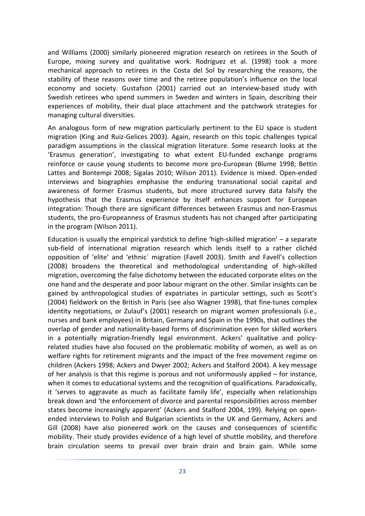and Williams (2000) similarly pioneered migration research on retirees in the South of Europe, mixing survey and qualitative work. Rodríguez et al. (1998) took a more mechanical approach to retirees in the Costa del Sol by researching the reasons, the stability of these reasons over time and the retiree population's influence on the local economy and society. Gustafson (2001) carried out an interview-based study with Swedish retirees who spend summers in Sweden and winters in Spain, describing their experiences of mobility, their dual place attachment and the patchwork strategies for managing cultural diversities.

An analogous form of new migration particularly pertinent to the EU space is student migration (King and Ruiz-Gelices 2003). Again, research on this topic challenges typical paradigm assumptions in the classical migration literature. Some research looks at the 'Erasmus generation', investigating to what extent EU-funded exchange programs reinforce or cause young students to become more pro-European (Blume 1998; Bettin Lattes and Bontempi 2008; Sigalas 2010; Wilson 2011). Evidence is mixed. Open-ended interviews and biographies emphasise the enduring transnational social capital and awareness of former Erasmus students, but more structured survey data falsify the hypothesis that the Erasmus experience by itself enhances support for European integration: Though there are significant differences between Erasmus and non-Erasmus students, the pro-Europeanness of Erasmus students has not changed after participating in the program (Wilson 2011).

Education is usually the empirical yardstick to define 'high-skilled migration' – a separate sub-field of international migration research which lends itself to a rather clichéd opposition of 'elite' and 'ethnic´ migration (Favell 2003). Smith and Favell's collection (2008) broadens the theoretical and methodological understanding of high-skilled migration, overcoming the false dichotomy between the educated corporate elites on the one hand and the desperate and poor labour migrant on the other. Similar insights can be gained by anthropological studies of expatriates in particular settings, such as Scott's (2004) fieldwork on the British in Paris (see also Wagner 1998), that fine-tunes complex identity negotiations, or Zulauf's (2001) research on migrant women professionals (i.e., nurses and bank employees) in Britain, Germany and Spain in the 1990s, that outlines the overlap of gender and nationality-based forms of discrimination even for skilled workers in a potentially migration-friendly legal environment. Ackers' qualitative and policyrelated studies have also focused on the problematic mobility of women, as well as on welfare rights for retirement migrants and the impact of the free movement regime on children (Ackers 1998; Ackers and Dwyer 2002; Ackers and Stalford 2004). A key message of her analysis is that this regime is porous and not uniformously applied – for instance, when it comes to educational systems and the recognition of qualifications. Paradoxically, it 'serves to aggravate as much as facilitate family life', especially when relationships break down and 'the enforcement of divorce and parental responsibilities across member states become increasingly apparent' (Ackers and Stalford 2004, 199). Relying on openended interviews to Polish and Bulgarian scientists in the UK and Germany, Ackers and Gill (2008) have also pioneered work on the causes and consequences of scientific mobility. Their study provides evidence of a high level of shuttle mobility, and therefore brain circulation seems to prevail over brain drain and brain gain. While some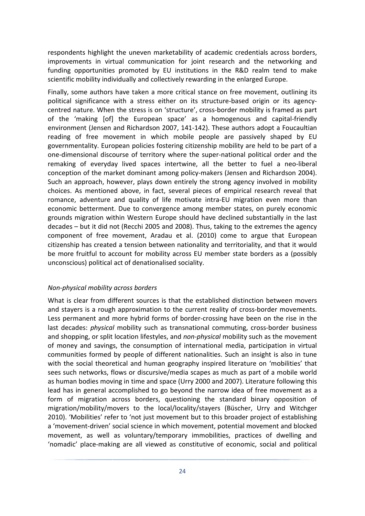respondents highlight the uneven marketability of academic credentials across borders, improvements in virtual communication for joint research and the networking and funding opportunities promoted by EU institutions in the R&D realm tend to make scientific mobility individually and collectively rewarding in the enlarged Europe.

Finally, some authors have taken a more critical stance on free movement, outlining its political significance with a stress either on its structure-based origin or its agencycentred nature. When the stress is on 'structure', cross-border mobility is framed as part of the 'making [of] the European space' as a homogenous and capital-friendly environment (Jensen and Richardson 2007, 141-142). These authors adopt a Foucaultian reading of free movement in which mobile people are passively shaped by EU governmentality. European policies fostering citizenship mobility are held to be part of a one-dimensional discourse of territory where the super-national political order and the remaking of everyday lived spaces intertwine, all the better to fuel a neo-liberal conception of the market dominant among policy-makers (Jensen and Richardson 2004). Such an approach, however, plays down entirely the strong agency involved in mobility choices. As mentioned above, in fact, several pieces of empirical research reveal that romance, adventure and quality of life motivate intra-EU migration even more than economic betterment. Due to convergence among member states, on purely economic grounds migration within Western Europe should have declined substantially in the last decades – but it did not (Recchi 2005 and 2008). Thus, taking to the extremes the agency component of free movement, Aradau et al. (2010) come to argue that European citizenship has created a tension between nationality and territoriality, and that it would be more fruitful to account for mobility across EU member state borders as a (possibly unconscious) political act of denationalised sociality.

#### *Non-physical mobility across borders*

What is clear from different sources is that the established distinction between movers and stayers is a rough approximation to the current reality of cross-border movements. Less permanent and more hybrid forms of border-crossing have been on the rise in the last decades: *physical* mobility such as transnational commuting, cross-border business and shopping, or split location lifestyles, and *non-physical* mobility such as the movement of money and savings, the consumption of international media, participation in virtual communities formed by people of different nationalities. Such an insight is also in tune with the social theoretical and human geography inspired literature on 'mobilities' that sees such networks, flows or discursive/media scapes as much as part of a mobile world as human bodies moving in time and space (Urry 2000 and 2007). Literature following this lead has in general accomplished to go beyond the narrow idea of free movement as a form of migration across borders, questioning the standard binary opposition of migration/mobility/movers to the local/locality/stayers (Büscher, Urry and Witchger 2010). 'Mobilities' refer to 'not just movement but to this broader project of establishing a 'movement-driven' social science in which movement, potential movement and blocked movement, as well as voluntary/temporary immobilities, practices of dwelling and 'nomadic' place-making are all viewed as constitutive of economic, social and political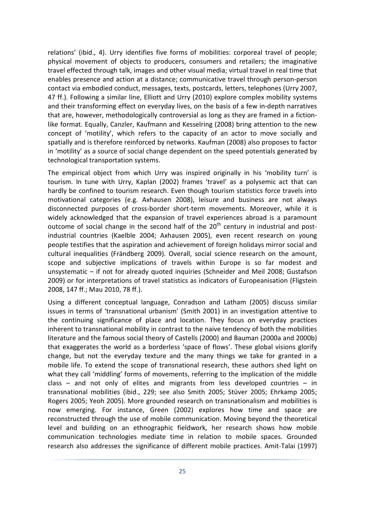relations' (ibid., 4). Urry identifies five forms of mobilities: corporeal travel of people; physical movement of objects to producers, consumers and retailers; the imaginative travel effected through talk, images and other visual media; virtual travel in real time that enables presence and action at a distance; communicative travel through person-person contact via embodied conduct, messages, texts, postcards, letters, telephones (Urry 2007, 47 ff.). Following a similar line, Elliott and Urry (2010) explore complex mobility systems and their transforming effect on everyday lives, on the basis of a few in-depth narratives that are, however, methodologically controversial as long as they are framed in a fictionlike format. Equally, Canzler, Kaufmann and Kesselring (2008) bring attention to the new concept of 'motility', which refers to the capacity of an actor to move socially and spatially and is therefore reinforced by networks. Kaufman (2008) also proposes to factor in 'motility' as a source of social change dependent on the speed potentials generated by technological transportation systems.

The empirical object from which Urry was inspired originally in his 'mobility turn' is tourism. In tune with Urry, Kaplan (2002) frames 'travel' as a polysemic act that can hardly be confined to tourism research. Even though tourism statistics force travels into motivational categories (e.g. Axhausen 2008), leisure and business are not always disconnected purposes of cross-border short-term movements. Moreover, while it is widely acknowledged that the expansion of travel experiences abroad is a paramount outcome of social change in the second half of the  $20<sup>th</sup>$  century in industrial and postindustrial countries (Kaelble 2004; Axhausen 2005), even recent research on young people testifies that the aspiration and achievement of foreign holidays mirror social and cultural inequalities (Frändberg 2009). Overall, social science research on the amount, scope and subjective implications of travels within Europe is so far modest and unsystematic – if not for already quoted inquiries (Schneider and Meil 2008; Gustafson 2009) or for interpretations of travel statistics as indicators of Europeanisation (Fligstein 2008, 147 ff.; Mau 2010, 78 ff.).

Using a different conceptual language, Conradson and Latham (2005) discuss similar issues in terms of 'transnational urbanism' (Smith 2001) in an investigation attentive to the continuing significance of place and location. They focus on everyday practices inherent to transnational mobility in contrast to the naive tendency of both the mobilities literature and the famous social theory of Castells (2000) and Bauman (2000a and 2000b) that exaggerates the world as a borderless 'space of flows'. These global visions glorify change, but not the everyday texture and the many things we take for granted in a mobile life. To extend the scope of transnational research, these authors shed light on what they call 'middling' forms of movements, referring to the implication of the middle class – and not only of elites and migrants from less developed countries – in transnational mobilities (ibid., 229; see also Smith 2005; Stüver 2005; Ehrkamp 2005; Rogers 2005; Yeoh 2005). More grounded research on transnationalism and mobilities is now emerging. For instance, Green (2002) explores how time and space are reconstructed through the use of mobile communication. Moving beyond the theoretical level and building on an ethnographic fieldwork, her research shows how mobile communication technologies mediate time in relation to mobile spaces. Grounded research also addresses the significance of different mobile practices. Amit-Talai (1997)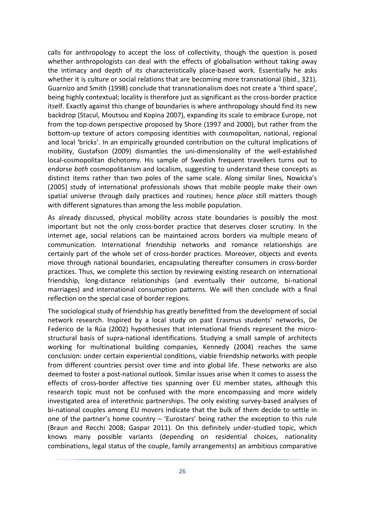calls for anthropology to accept the loss of collectivity, though the question is posed whether anthropologists can deal with the effects of globalisation without taking away the intimacy and depth of its characteristically place-based work. Essentially he asks whether it is culture or social relations that are becoming more transnational (ibid., 321). Guarnizo and Smith (1998) conclude that transnationalism does not create a 'third space', being highly contextual; locality is therefore just as significant as the cross-border practice itself. Exactly against this change of boundaries is where anthropology should find its new backdrop (Stacul, Moutsou and Kopina 2007), expanding its scale to embrace Europe, not from the top-down perspective proposed by Shore (1997 and 2000), but rather from the bottom-up texture of actors composing identities with cosmopolitan, national, regional and local 'bricks'. In an empirically grounded contribution on the cultural implications of mobility, Gustafson (2009) dismantles the uni-dimensionality of the well-established local-cosmopolitan dichotomy. His sample of Swedish frequent travellers turns out to endorse *both* cosmopolitanism and localism, suggesting to understand these concepts as distinct items rather than two poles of the same scale. Along similar lines, Nowicka's (2005) study of international professionals shows that mobile people make their own spatial universe through daily practices and routines; hence *place* still matters though with different signatures than among the less mobile population.

As already discussed, physical mobility across state boundaries is possibly the most important but not the only cross-border practice that deserves closer scrutiny. In the internet age, social relations can be maintained across borders via multiple means of communication. International friendship networks and romance relationships are certainly part of the whole set of cross-border practices. Moreover, objects and events move through national boundaries, encapsulating thereafter consumers in cross-border practices. Thus, we complete this section by reviewing existing research on international friendship, long-distance relationships (and eventually their outcome, bi-national marriages) and international consumption patterns. We will then conclude with a final reflection on the special case of border regions.

The sociological study of friendship has greatly benefitted from the development of social network research. Inspired by a local study on past Erasmus students' networks, De Federico de la Rúa (2002) hypothesises that international friends represent the microstructural basis of supra-national identifications. Studying a small sample of architects working for multinational building companies, Kennedy (2004) reaches the same conclusion: under certain experiential conditions, viable friendship networks with people from different countries persist over time and into global life. These networks are also deemed to foster a post-national outlook. Similar issues arise when it comes to assess the effects of cross-border affective ties spanning over EU member states, although this research topic must not be confused with the more encompassing and more widely investigated area of interethnic partnerships. The only existing survey-based analyses of bi-national couples among EU movers indicate that the bulk of them decide to settle in one of the partner's home country – 'Eurostars' being rather the exception to this rule (Braun and Recchi 2008; Gaspar 2011). On this definitely under-studied topic, which knows many possible variants (depending on residential choices, nationality combinations, legal status of the couple, family arrangements) an ambitious comparative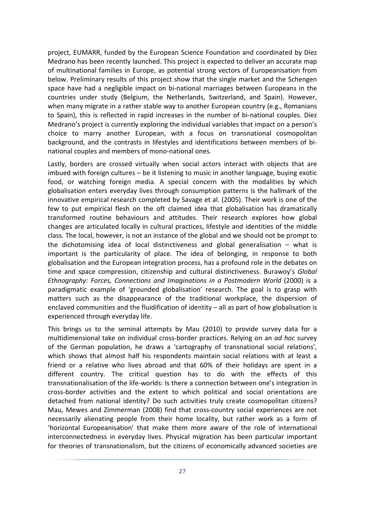project, EUMARR, funded by the European Science Foundation and coordinated by Díez Medrano has been recently launched. This project is expected to deliver an accurate map of multinational families in Europe, as potential strong vectors of Europeanisation from below. Preliminary results of this project show that the single market and the Schengen space have had a negligible impact on bi-national marriages between Europeans in the countries under study (Belgium, the Netherlands, Switzerland, and Spain). However, when many migrate in a rather stable way to another European country (e.g., Romanians to Spain), this is reflected in rapid increases in the number of bi-national couples. Díez Medrano's project is currently exploring the individual variables that impact on a person's choice to marry another European, with a focus on transnational cosmopolitan background, and the contrasts in lifestyles and identifications between members of binational couples and members of mono-national ones.

Lastly, borders are crossed virtually when social actors interact with objects that are imbued with foreign cultures – be it listening to music in another language, buying exotic food, or watching foreign media. A special concern with the modalities by which globalisation enters everyday lives through consumption patterns is the hallmark of the innovative empirical research completed by Savage et al. (2005). Their work is one of the few to put empirical flesh on the oft claimed idea that globalisation has dramatically transformed routine behaviours and attitudes. Their research explores how global changes are articulated locally in cultural practices, lifestyle and identities of the middle class. The local, however, is not an instance of the global and we should not be prompt to the dichotomising idea of local distinctiveness and global generalisation – what is important is the particularity of place. The idea of belonging, in response to both globalisation and the European integration process, has a profound role in the debates on time and space compression, citizenship and cultural distinctiveness. Burawoy's *Global Ethnography: Forces, Connections and Imaginations in a Postmodern World* (2000) is a paradigmatic example of 'grounded globalisation' research. The goal is to grasp with matters such as the disappearance of the traditional workplace, the dispersion of enclaved communities and the fluidification of identity – all as part of how globalisation is experienced through everyday life.

This brings us to the seminal attempts by Mau (2010) to provide survey data for a multidimensional take on individual cross-border practices. Relying on an *ad hoc* survey of the German population, he draws a 'cartography of transnational social relations', which shows that almost half his respondents maintain social relations with at least a friend or a relative who lives abroad and that 60% of their holidays are spent in a different country. The critical question has to do with the effects of this transnationalisation of the life-worlds: Is there a connection between one's integration in cross-border activities and the extent to which political and social orientations are detached from national identity? Do such activities truly create cosmopolitan citizens? Mau, Mewes and Zimmerman (2008) find that cross-country social experiences are not necessarily alienating people from their home locality, but rather work as a form of 'horizontal Europeanisation' that make them more aware of the role of international interconnectedness in everyday lives. Physical migration has been particular important for theories of transnationalism, but the citizens of economically advanced societies are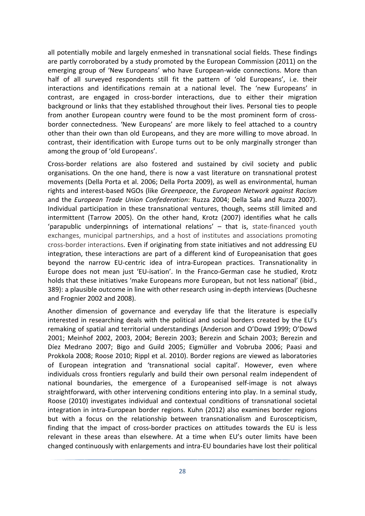all potentially mobile and largely enmeshed in transnational social fields. These findings are partly corroborated by a study promoted by the European Commission (2011) on the emerging group of 'New Europeans' who have European-wide connections. More than half of all surveyed respondents still fit the pattern of 'old Europeans', i.e. their interactions and identifications remain at a national level. The 'new Europeans' in contrast, are engaged in cross-border interactions, due to either their migration background or links that they established throughout their lives. Personal ties to people from another European country were found to be the most prominent form of crossborder connectedness. 'New Europeans' are more likely to feel attached to a country other than their own than old Europeans, and they are more willing to move abroad. In contrast, their identification with Europe turns out to be only marginally stronger than among the group of 'old Europeans'.

Cross-border relations are also fostered and sustained by civil society and public organisations. On the one hand, there is now a vast literature on transnational protest movements (Della Porta et al. 2006; Della Porta 2009), as well as environmental, human rights and interest-based NGOs (like *Greenpeace*, the *European Network against Racism* and the *European Trade Union Confederation*: Ruzza 2004; Della Sala and Ruzza 2007). Individual participation in these transnational ventures, though, seems still limited and intermittent (Tarrow 2005). On the other hand, Krotz (2007) identifies what he calls 'parapublic underpinnings of international relations' – that is, state-financed youth exchanges, municipal partnerships, and a host of institutes and associations promoting cross-border interactions. Even if originating from state initiatives and not addressing EU integration, these interactions are part of a different kind of Europeanisation that goes beyond the narrow EU-centric idea of intra-European practices. Transnationality in Europe does not mean just 'EU-isation'. In the Franco-German case he studied, Krotz holds that these initiatives 'make Europeans more European, but not less national' (ibid., 389): a plausible outcome in line with other research using in-depth interviews (Duchesne and Frognier 2002 and 2008).

Another dimension of governance and everyday life that the literature is especially interested in researching deals with the political and social borders created by the EU's remaking of spatial and territorial understandings (Anderson and O'Dowd 1999; O'Dowd 2001; Meinhof 2002, 2003, 2004; Berezin 2003; Berezin and Schain 2003; Berezin and Díez Medrano 2007; Bigo and Guild 2005; Eigmüller and Vobruba 2006; Paasi and Prokkola 2008; Roose 2010; Rippl et al. 2010). Border regions are viewed as laboratories of European integration and 'transnational social capital'. However, even where individuals cross frontiers regularly and build their own personal realm independent of national boundaries, the emergence of a Europeanised self-image is not always straightforward, with other intervening conditions entering into play. In a seminal study, Roose (2010) investigates individual and contextual conditions of transnational societal integration in intra-European border regions. Kuhn (2012) also examines border regions but with a focus on the relationship between transnationalism and Euroscepticism, finding that the impact of cross-border practices on attitudes towards the EU is less relevant in these areas than elsewhere. At a time when EU's outer limits have been changed continuously with enlargements and intra-EU boundaries have lost their political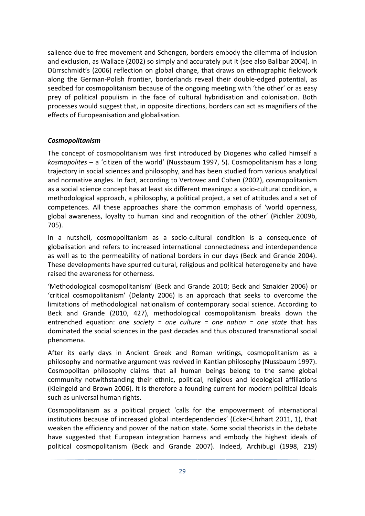salience due to free movement and Schengen, borders embody the dilemma of inclusion and exclusion, as Wallace (2002) so simply and accurately put it (see also Balibar 2004). In Dürrschmidt's (2006) reflection on global change, that draws on ethnographic fieldwork along the German-Polish frontier, borderlands reveal their double-edged potential, as seedbed for cosmopolitanism because of the ongoing meeting with 'the other' or as easy prey of political populism in the face of cultural hybridisation and colonisation. Both processes would suggest that, in opposite directions, borders can act as magnifiers of the effects of Europeanisation and globalisation.

## *Cosmopolitanism*

The concept of cosmopolitanism was first introduced by Diogenes who called himself a *kosmopolites* – a 'citizen of the world' (Nussbaum 1997, 5). Cosmopolitanism has a long trajectory in social sciences and philosophy, and has been studied from various analytical and normative angles. In fact, according to Vertovec and Cohen (2002), cosmopolitanism as a social science concept has at least six different meanings: a socio-cultural condition, a methodological approach, a philosophy, a political project, a set of attitudes and a set of competences. All these approaches share the common emphasis of 'world openness, global awareness, loyalty to human kind and recognition of the other' (Pichler 2009b, 705).

In a nutshell, cosmopolitanism as a socio-cultural condition is a consequence of globalisation and refers to increased international connectedness and interdependence as well as to the permeability of national borders in our days (Beck and Grande 2004). These developments have spurred cultural, religious and political heterogeneity and have raised the awareness for otherness.

'Methodological cosmopolitanism' (Beck and Grande 2010; Beck and Sznaider 2006) or 'critical cosmopolitanism' (Delanty 2006) is an approach that seeks to overcome the limitations of methodological nationalism of contemporary social science. According to Beck and Grande (2010, 427), methodological cosmopolitanism breaks down the entrenched equation: *one society = one culture = one nation = one state* that has dominated the social sciences in the past decades and thus obscured transnational social phenomena.

After its early days in Ancient Greek and Roman writings, cosmopolitanism as a philosophy and normative argument was revived in Kantian philosophy (Nussbaum 1997). Cosmopolitan philosophy claims that all human beings belong to the same global community notwithstanding their ethnic, political, religious and ideological affiliations (Kleingeld and Brown 2006). It is therefore a founding current for modern political ideals such as universal human rights.

Cosmopolitanism as a political project 'calls for the empowerment of international institutions because of increased global interdependencies' (Ecker-Ehrhart 2011, 1), that weaken the efficiency and power of the nation state. Some social theorists in the debate have suggested that European integration harness and embody the highest ideals of political cosmopolitanism (Beck and Grande 2007). Indeed, Archibugi (1998, 219)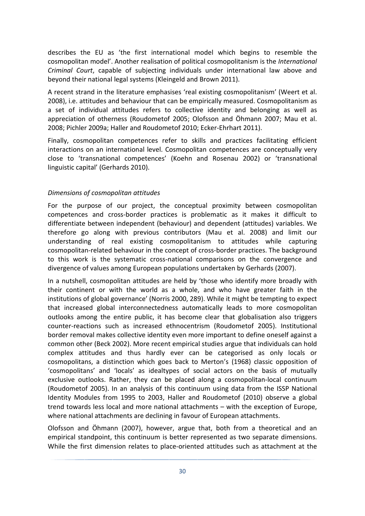describes the EU as 'the first international model which begins to resemble the cosmopolitan model'. Another realisation of political cosmopolitanism is the *International Criminal Court*, capable of subjecting individuals under international law above and beyond their national legal systems (Kleingeld and Brown 2011).

A recent strand in the literature emphasises 'real existing cosmopolitanism' (Weert et al. 2008), i.e. attitudes and behaviour that can be empirically measured. Cosmopolitanism as a set of individual attitudes refers to collective identity and belonging as well as appreciation of otherness (Roudometof 2005; Olofsson and Öhmann 2007; Mau et al. 2008; Pichler 2009a; Haller and Roudometof 2010; Ecker-Ehrhart 2011).

Finally, cosmopolitan competences refer to skills and practices facilitating efficient interactions on an international level. Cosmopolitan competences are conceptually very close to 'transnational competences' (Koehn and Rosenau 2002) or 'transnational linguistic capital' (Gerhards 2010).

#### *Dimensions of cosmopolitan attitudes*

For the purpose of our project, the conceptual proximity between cosmopolitan competences and cross-border practices is problematic as it makes it difficult to differentiate between independent (behaviour) and dependent (attitudes) variables. We therefore go along with previous contributors (Mau et al. 2008) and limit our understanding of real existing cosmopolitanism to attitudes while capturing cosmopolitan-related behaviour in the concept of cross-border practices. The background to this work is the systematic cross-national comparisons on the convergence and divergence of values among European populations undertaken by Gerhards (2007).

In a nutshell, cosmopolitan attitudes are held by 'those who identify more broadly with their continent or with the world as a whole, and who have greater faith in the institutions of global governance' (Norris 2000, 289). While it might be tempting to expect that increased global interconnectedness automatically leads to more cosmopolitan outlooks among the entire public, it has become clear that globalisation also triggers counter-reactions such as increased ethnocentrism (Roudometof 2005). Institutional border removal makes collective identity even more important to define oneself against a common other (Beck 2002). More recent empirical studies argue that individuals can hold complex attitudes and thus hardly ever can be categorised as only locals or cosmopolitans, a distinction which goes back to Merton's (1968) classic opposition of 'cosmopolitans' and 'locals' as idealtypes of social actors on the basis of mutually exclusive outlooks. Rather, they can be placed along a cosmopolitan-local continuum (Roudometof 2005). In an analysis of this continuum using data from the ISSP National Identity Modules from 1995 to 2003, Haller and Roudometof (2010) observe a global trend towards less local and more national attachments – with the exception of Europe, where national attachments are declining in favour of European attachments.

Olofsson and Öhmann (2007), however, argue that, both from a theoretical and an empirical standpoint, this continuum is better represented as two separate dimensions. While the first dimension relates to place-oriented attitudes such as attachment at the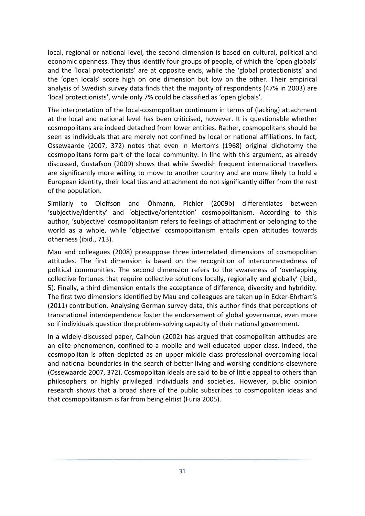local, regional or national level, the second dimension is based on cultural, political and economic openness. They thus identify four groups of people, of which the 'open globals' and the 'local protectionists' are at opposite ends, while the 'global protectionists' and the 'open locals' score high on one dimension but low on the other. Their empirical analysis of Swedish survey data finds that the majority of respondents (47% in 2003) are 'local protectionists', while only 7% could be classified as 'open globals'.

The interpretation of the local-cosmopolitan continuum in terms of (lacking) attachment at the local and national level has been criticised, however. It is questionable whether cosmopolitans are indeed detached from lower entities. Rather, cosmopolitans should be seen as individuals that are merely not confined by local or national affiliations. In fact, Ossewaarde (2007, 372) notes that even in Merton's (1968) original dichotomy the cosmopolitans form part of the local community. In line with this argument, as already discussed, Gustafson (2009) shows that while Swedish frequent international travellers are significantly more willing to move to another country and are more likely to hold a European identity, their local ties and attachment do not significantly differ from the rest of the population.

Similarly to Oloffson and Öhmann, Pichler (2009b) differentiates between 'subjective/identity' and 'objective/orientation' cosmopolitanism. According to this author, 'subjective' cosmopolitanism refers to feelings of attachment or belonging to the world as a whole, while 'objective' cosmopolitanism entails open attitudes towards otherness (ibid., 713).

Mau and colleagues (2008) presuppose three interrelated dimensions of cosmopolitan attitudes. The first dimension is based on the recognition of interconnectedness of political communities. The second dimension refers to the awareness of 'overlapping collective fortunes that require collective solutions locally, regionally and globally' (ibid., 5). Finally, a third dimension entails the acceptance of difference, diversity and hybridity. The first two dimensions identified by Mau and colleagues are taken up in Ecker-Ehrhart's (2011) contribution. Analysing German survey data, this author finds that perceptions of transnational interdependence foster the endorsement of global governance, even more so if individuals question the problem-solving capacity of their national government.

In a widely-discussed paper, Calhoun (2002) has argued that cosmopolitan attitudes are an elite phenomenon, confined to a mobile and well-educated upper class. Indeed, the cosmopolitan is often depicted as an upper-middle class professional overcoming local and national boundaries in the search of better living and working conditions elsewhere (Ossewaarde 2007, 372). Cosmopolitan ideals are said to be of little appeal to others than philosophers or highly privileged individuals and societies. However, public opinion research shows that a broad share of the public subscribes to cosmopolitan ideas and that cosmopolitanism is far from being elitist (Furia 2005).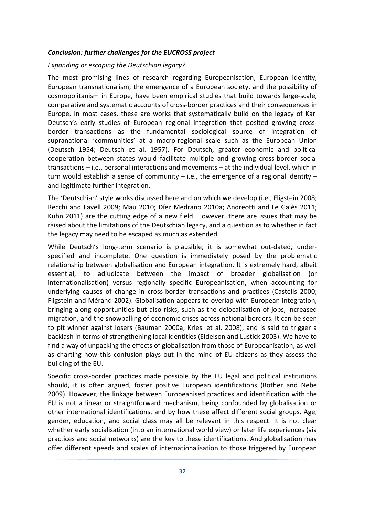#### *Conclusion: further challenges for the EUCROSS project*

#### *Expanding or escaping the Deutschian legacy?*

The most promising lines of research regarding Europeanisation, European identity, European transnationalism, the emergence of a European society, and the possibility of cosmopolitanism in Europe, have been empirical studies that build towards large-scale, comparative and systematic accounts of cross-border practices and their consequences in Europe. In most cases, these are works that systematically build on the legacy of Karl Deutsch's early studies of European regional integration that posited growing crossborder transactions as the fundamental sociological source of integration of supranational 'communities' at a macro-regional scale such as the European Union (Deutsch 1954; Deutsch et al. 1957). For Deutsch, greater economic and political cooperation between states would facilitate multiple and growing cross-border social transactions – i.e., personal interactions and movements – at the individual level, which in turn would establish a sense of community – i.e., the emergence of a regional identity – and legitimate further integration.

The 'Deutschian' style works discussed here and on which we develop (i.e., Fligstein 2008; Recchi and Favell 2009; Mau 2010; Díez Medrano 2010a; Andreotti and Le Galès 2011; Kuhn 2011) are the cutting edge of a new field. However, there are issues that may be raised about the limitations of the Deutschian legacy, and a question as to whether in fact the legacy may need to be escaped as much as extended.

While Deutsch's long-term scenario is plausible, it is somewhat out-dated, underspecified and incomplete. One question is immediately posed by the problematic relationship between globalisation and European integration. It is extremely hard, albeit essential, to adjudicate between the impact of broader globalisation (or internationalisation) versus regionally specific Europeanisation, when accounting for underlying causes of change in cross-border transactions and practices (Castells 2000; Fligstein and Mérand 2002). Globalisation appears to overlap with European integration, bringing along opportunities but also risks, such as the delocalisation of jobs, increased migration, and the snowballing of economic crises across national borders. It can be seen to pit winner against losers (Bauman 2000a; Kriesi et al. 2008), and is said to trigger a backlash in terms of strengthening local identities (Eidelson and Lustick 2003). We have to find a way of unpacking the effects of globalisation from those of Europeanisation, as well as charting how this confusion plays out in the mind of EU citizens as they assess the building of the EU.

Specific cross-border practices made possible by the EU legal and political institutions should, it is often argued, foster positive European identifications (Rother and Nebe 2009). However, the linkage between Europeanised practices and identification with the EU is not a linear or straightforward mechanism, being confounded by globalisation or other international identifications, and by how these affect different social groups. Age, gender, education, and social class may all be relevant in this respect. It is not clear whether early socialisation (into an international world view) or later life experiences (via practices and social networks) are the key to these identifications. And globalisation may offer different speeds and scales of internationalisation to those triggered by European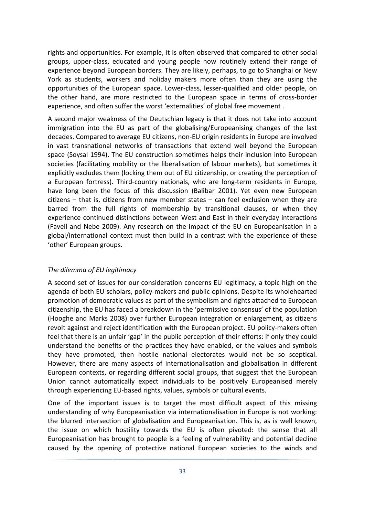rights and opportunities. For example, it is often observed that compared to other social groups, upper-class, educated and young people now routinely extend their range of experience beyond European borders. They are likely, perhaps, to go to Shanghai or New York as students, workers and holiday makers more often than they are using the opportunities of the European space. Lower-class, lesser-qualified and older people, on the other hand, are more restricted to the European space in terms of cross-border experience, and often suffer the worst 'externalities' of global free movement .

A second major weakness of the Deutschian legacy is that it does not take into account immigration into the EU as part of the globalising/Europeanising changes of the last decades. Compared to average EU citizens, non-EU origin residents in Europe are involved in vast transnational networks of transactions that extend well beyond the European space (Soysal 1994). The EU construction sometimes helps their inclusion into European societies (facilitating mobility or the liberalisation of labour markets), but sometimes it explicitly excludes them (locking them out of EU citizenship, or creating the perception of a European fortress). Third-country nationals, who are long-term residents in Europe, have long been the focus of this discussion (Balibar 2001). Yet even new European citizens – that is, citizens from new member states – can feel exclusion when they are barred from the full rights of membership by transitional clauses, or when they experience continued distinctions between West and East in their everyday interactions (Favell and Nebe 2009). Any research on the impact of the EU on Europeanisation in a global/international context must then build in a contrast with the experience of these 'other' European groups.

#### *The dilemma of EU legitimacy*

A second set of issues for our consideration concerns EU legitimacy, a topic high on the agenda of both EU scholars, policy-makers and public opinions. Despite its wholehearted promotion of democratic values as part of the symbolism and rights attached to European citizenship, the EU has faced a breakdown in the 'permissive consensus' of the population (Hooghe and Marks 2008) over further European integration or enlargement, as citizens revolt against and reject identification with the European project. EU policy-makers often feel that there is an unfair 'gap' in the public perception of their efforts: if only they could understand the benefits of the practices they have enabled, or the values and symbols they have promoted, then hostile national electorates would not be so sceptical. However, there are many aspects of internationalisation and globalisation in different European contexts, or regarding different social groups, that suggest that the European Union cannot automatically expect individuals to be positively Europeanised merely through experiencing EU-based rights, values, symbols or cultural events.

One of the important issues is to target the most difficult aspect of this missing understanding of why Europeanisation via internationalisation in Europe is not working: the blurred intersection of globalisation and Europeanisation. This is, as is well known, the issue on which hostility towards the EU is often pivoted: the sense that all Europeanisation has brought to people is a feeling of vulnerability and potential decline caused by the opening of protective national European societies to the winds and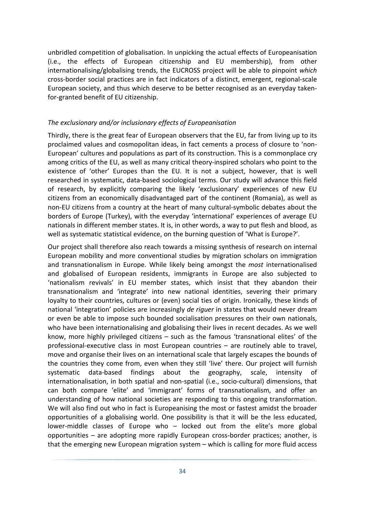unbridled competition of globalisation. In unpicking the actual effects of Europeanisation (i.e., the effects of European citizenship and EU membership), from other internationalising/globalising trends, the EUCROSS project will be able to pinpoint *which* cross-border social practices are in fact indicators of a distinct, emergent, regional-scale European society, and thus which deserve to be better recognised as an everyday takenfor-granted benefit of EU citizenship.

#### *The exclusionary and/or inclusionary effects of Europeanisation*

Thirdly, there is the great fear of European observers that the EU, far from living up to its proclaimed values and cosmopolitan ideas, in fact cements a process of closure to 'non-European' cultures and populations as part of its construction. This is a commonplace cry among critics of the EU, as well as many critical theory-inspired scholars who point to the existence of 'other' Europes than the EU. It is not a subject, however, that is well researched in systematic, data-based sociological terms. Our study will advance this field of research, by explicitly comparing the likely 'exclusionary' experiences of new EU citizens from an economically disadvantaged part of the continent (Romania), as well as non-EU citizens from a country at the heart of many cultural-symbolic debates about the borders of Europe (Turkey), with the everyday 'international' experiences of average EU nationals in different member states. It is, in other words, a way to put flesh and blood, as well as systematic statistical evidence, on the burning question of 'What is Europe?'.

Our project shall therefore also reach towards a missing synthesis of research on internal European mobility and more conventional studies by migration scholars on immigration and transnationalism in Europe. While likely being amongst the *most* internationalised and globalised of European residents, immigrants in Europe are also subjected to 'nationalism revivals' in EU member states, which insist that they abandon their transnationalism and 'integrate' into new national identities, severing their primary loyalty to their countries, cultures or (even) social ties of origin. Ironically, these kinds of national 'integration' policies are increasingly *de riguer* in states that would never dream or even be able to impose such bounded socialisation pressures on their own nationals, who have been internationalising and globalising their lives in recent decades. As we well know, more highly privileged citizens – such as the famous 'transnational elites' of the professional-executive class in most European countries – are routinely able to travel, move and organise their lives on an international scale that largely escapes the bounds of the countries they come from, even when they still 'live' there. Our project will furnish systematic data-based findings about the geography, scale, intensity of internationalisation, in both spatial and non-spatial (i.e., socio-cultural) dimensions, that can both compare 'elite' and 'immigrant' forms of transnationalism, and offer an understanding of how national societies are responding to this ongoing transformation. We will also find out who in fact is Europeanising the most or fastest amidst the broader opportunities of a globalising world. One possibility is that it will be the less educated, lower-middle classes of Europe who – locked out from the elite's more global opportunities – are adopting more rapidly European cross-border practices; another, is that the emerging new European migration system – which is calling for more fluid access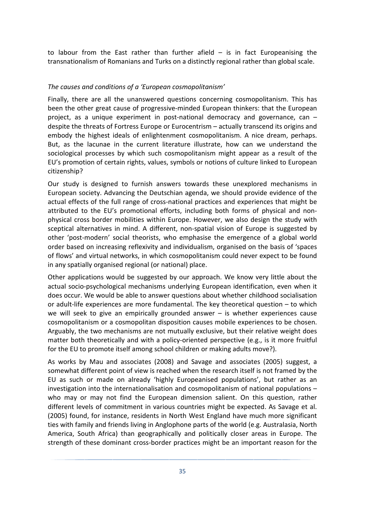to labour from the East rather than further afield  $-$  is in fact Europeanising the transnationalism of Romanians and Turks on a distinctly regional rather than global scale.

#### *The causes and conditions of a 'European cosmopolitanism'*

Finally, there are all the unanswered questions concerning cosmopolitanism. This has been the other great cause of progressive-minded European thinkers: that the European project, as a unique experiment in post-national democracy and governance, can – despite the threats of Fortress Europe or Eurocentrism – actually transcend its origins and embody the highest ideals of enlightenment cosmopolitanism. A nice dream, perhaps. But, as the lacunae in the current literature illustrate, how can we understand the sociological processes by which such cosmopolitanism might appear as a result of the EU's promotion of certain rights, values, symbols or notions of culture linked to European citizenship?

Our study is designed to furnish answers towards these unexplored mechanisms in European society. Advancing the Deutschian agenda, we should provide evidence of the actual effects of the full range of cross-national practices and experiences that might be attributed to the EU's promotional efforts, including both forms of physical and nonphysical cross border mobilities within Europe. However, we also design the study with sceptical alternatives in mind. A different, non-spatial vision of Europe is suggested by other 'post-modern' social theorists, who emphasise the emergence of a global world order based on increasing reflexivity and individualism, organised on the basis of 'spaces of flows' and virtual networks, in which cosmopolitanism could never expect to be found in any spatially organised regional (or national) place.

Other applications would be suggested by our approach. We know very little about the actual socio-psychological mechanisms underlying European identification, even when it does occur. We would be able to answer questions about whether childhood socialisation or adult-life experiences are more fundamental. The key theoretical question – to which we will seek to give an empirically grounded answer – is whether experiences cause cosmopolitanism or a cosmopolitan disposition causes mobile experiences to be chosen. Arguably, the two mechanisms are not mutually exclusive, but their relative weight does matter both theoretically and with a policy-oriented perspective (e.g., is it more fruitful for the EU to promote itself among school children or making adults move?).

As works by Mau and associates (2008) and Savage and associates (2005) suggest, a somewhat different point of view is reached when the research itself is not framed by the EU as such or made on already 'highly Europeanised populations', but rather as an investigation into the internationalisation and cosmopolitanism of national populations – who may or may not find the European dimension salient. On this question, rather different levels of commitment in various countries might be expected. As Savage et al. (2005) found, for instance, residents in North West England have much more significant ties with family and friends living in Anglophone parts of the world (e.g. Australasia, North America, South Africa) than geographically and politically closer areas in Europe. The strength of these dominant cross-border practices might be an important reason for the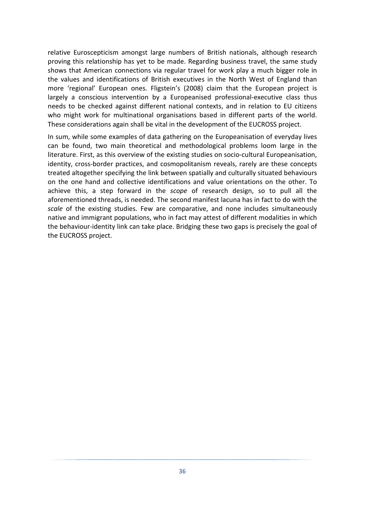relative Euroscepticism amongst large numbers of British nationals, although research proving this relationship has yet to be made. Regarding business travel, the same study shows that American connections via regular travel for work play a much bigger role in the values and identifications of British executives in the North West of England than more 'regional' European ones. Fligstein's (2008) claim that the European project is largely a conscious intervention by a Europeanised professional-executive class thus needs to be checked against different national contexts, and in relation to EU citizens who might work for multinational organisations based in different parts of the world. These considerations again shall be vital in the development of the EUCROSS project.

In sum, while some examples of data gathering on the Europeanisation of everyday lives can be found, two main theoretical and methodological problems loom large in the literature. First, as this overview of the existing studies on socio-cultural Europeanisation, identity, cross-border practices, and cosmopolitanism reveals, rarely are these concepts treated altogether specifying the link between spatially and culturally situated behaviours on the one hand and collective identifications and value orientations on the other. To achieve this, a step forward in the *scope* of research design, so to pull all the aforementioned threads, is needed. The second manifest lacuna has in fact to do with the *scale* of the existing studies. Few are comparative, and none includes simultaneously native and immigrant populations, who in fact may attest of different modalities in which the behaviour-identity link can take place. Bridging these two gaps is precisely the goal of the EUCROSS project.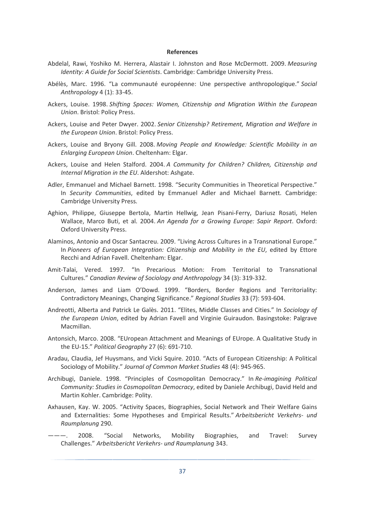#### **References**

- Abdelal, Rawi, Yoshiko M. Herrera, Alastair I. Johnston and Rose McDermott. 2009. *Measuring Identity: A Guide for Social Scientists*. Cambridge: Cambridge University Press.
- Abélès, Marc. 1996. "La communauté européenne: Une perspective anthropologique." *Social Anthropology* 4 (1): 33-45.
- Ackers, Louise. 1998. *Shifting Spaces: Women, Citizenship and Migration Within the European Union*. Bristol: Policy Press.
- Ackers, Louise and Peter Dwyer. 2002. *Senior Citizenship? Retirement, Migration and Welfare in the European Union*. Bristol: Policy Press.
- Ackers, Louise and Bryony Gill. 2008. *Moving People and Knowledge: Scientific Mobility in an Enlarging European Union*. Cheltenham: Elgar.
- Ackers, Louise and Helen Stalford. 2004. *A Community for Children? Children, Citizenship and Internal Migration in the EU*. Aldershot: Ashgate.
- Adler, Emmanuel and Michael Barnett. 1998. "Security Communities in Theoretical Perspective." In *Security Communities*, edited by Emmanuel Adler and Michael Barnett. Cambridge: Cambridge University Press.
- Aghion, Philippe, Giuseppe Bertola, Martin Hellwig, Jean Pisani-Ferry, Dariusz Rosati, Helen Wallace, Marco Buti, et al. 2004. *An Agenda for a Growing Europe: Sapir Report*. Oxford: Oxford University Press.
- Alaminos, Antonio and Oscar Santacreu. 2009. "Living Across Cultures in a Transnational Europe." In *Pioneers of European Integration: Citizenship and Mobility in the EU*, edited by Ettore Recchi and Adrian Favell. Cheltenham: Elgar.
- Amit-Talai, Vered. 1997. "In Precarious Motion: From Territorial to Transnational Cultures." *Canadian Review of Sociology and Anthropology* 34 (3): 319-332.
- Anderson, James and Liam O'Dowd. 1999. "Borders, Border Regions and Territoriality: Contradictory Meanings, Changing Significance." *Regional Studies* 33 (7): 593-604.
- Andreotti, Alberta and Patrick Le Galès. 2011. "Elites, Middle Classes and Cities." In *Sociology of the European Union*, edited by Adrian Favell and Virginie Guiraudon. Basingstoke: Palgrave Macmillan.
- Antonsich, Marco. 2008. "EUropean Attachment and Meanings of EUrope. A Qualitative Study in the EU-15." *Political Geography* 27 (6): 691-710.
- Aradau, Claudia, Jef Huysmans, and Vicki Squire. 2010. "Acts of European Citizenship: A Political Sociology of Mobility." *Journal of Common Market Studies* 48 (4): 945-965.
- Archibugi, Daniele. 1998. "Principles of Cosmopolitan Democracy." In *Re-imagining Political Community: Studies in Cosmopolitan Democracy*, edited by Daniele Archibugi, David Held and Martin Kohler. Cambridge: Polity.
- Axhausen, Kay. W. 2005. "Activity Spaces, Biographies, Social Network and Their Welfare Gains and Externalities: Some Hypotheses and Empirical Results." *Arbeitsbericht Verkehrs- und Raumplanung* 290.
- ———. 2008. "Social Networks, Mobility Biographies, and Travel: Survey Challenges." *Arbeitsbericht Verkehrs- und Raumplanung* 343.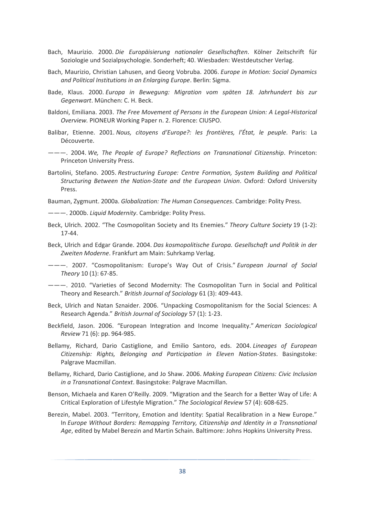- Bach, Maurizio. 2000. *Die Europäisierung nationaler Gesellschaften*. Kölner Zeitschrift für Soziologie und Sozialpsychologie. Sonderheft; 40. Wiesbaden: Westdeutscher Verlag.
- Bach, Maurizio, Christian Lahusen, and Georg Vobruba. 2006. *Europe in Motion: Social Dynamics and Political Institutions in an Enlarging Europe*. Berlin: Sigma.
- Bade, Klaus. 2000. *Europa in Bewegung: Migration vom späten 18. Jahrhundert bis zur Gegenwart*. München: C. H. Beck.
- Baldoni, Emiliana. 2003. *The Free Movement of Persons in the European Union: A Legal-Historical Overview.* PIONEUR Working Paper n. 2. Florence: CIUSPO.
- Balibar, Etienne. 2001. *Nous, citoyens d'Europe?: les frontières, l'État, le peuple*. Paris: La Découverte.
- ———. 2004. *We, The People of Europe? Reflections on Transnational Citizenship*. Princeton: Princeton University Press.
- Bartolini, Stefano. 2005. *Restructuring Europe: Centre Formation, System Building and Political Structuring Between the Nation-State and the European Union*. Oxford: Oxford University Press.

Bauman, Zygmunt. 2000a. *Globalization: The Human Consequences*. Cambridge: Polity Press.

- ———. 2000b. *Liquid Modernity*. Cambridge: Polity Press.
- Beck, Ulrich. 2002. "The Cosmopolitan Society and Its Enemies." *Theory Culture Society* 19 (1-2): 17-44.
- Beck, Ulrich and Edgar Grande. 2004. *Das kosmopolitische Europa. Gesellschaft und Politik in der Zweiten Moderne*. Frankfurt am Main: Suhrkamp Verlag.
- ———. 2007. "Cosmopolitanism: Europe's Way Out of Crisis." *European Journal of Social Theory* 10 (1): 67-85.
- ———. 2010. "Varieties of Second Modernity: The Cosmopolitan Turn in Social and Political Theory and Research." *British Journal of Sociology* 61 (3): 409-443.
- Beck, Ulrich and Natan Sznaider. 2006. "Unpacking Cosmopolitanism for the Social Sciences: A Research Agenda." *British Journal of Sociology* 57 (1): 1-23.
- Beckfield, Jason. 2006. "European Integration and Income Inequality." *American Sociological Review* 71 (6): pp. 964-985.
- Bellamy, Richard, Dario Castiglione, and Emilio Santoro, eds. 2004. *Lineages of European Citizenship: Rights, Belonging and Participation in Eleven Nation-States*. Basingstoke: Palgrave Macmillan.
- Bellamy, Richard, Dario Castiglione, and Jo Shaw. 2006. *Making European Citizens: Civic Inclusion in a Transnational Context*. Basingstoke: Palgrave Macmillan.
- Benson, Michaela and Karen O'Reilly. 2009. "Migration and the Search for a Better Way of Life: A Critical Exploration of Lifestyle Migration." *The Sociological Review* 57 (4): 608-625.
- Berezin, Mabel. 2003. "Territory, Emotion and Identity: Spatial Recalibration in a New Europe." In *Europe Without Borders: Remapping Territory, Citizenship and Identity in a Transnational Age*, edited by Mabel Berezin and Martin Schain. Baltimore: Johns Hopkins University Press.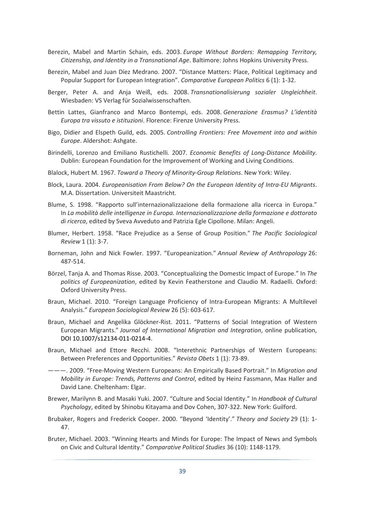- Berezin, Mabel and Martin Schain, eds. 2003. *Europe Without Borders: Remapping Territory, Citizenship, and Identity in a Transnational Age*. Baltimore: Johns Hopkins University Press.
- Berezin, Mabel and Juan Díez Medrano. 2007. "Distance Matters: Place, Political Legitimacy and Popular Support for European Integration". *Comparative European Politics* 6 (1): 1-32.
- Berger, Peter A. and Anja Weiß, eds. 2008. *Transnationalisierung sozialer Ungleichheit*. Wiesbaden: VS Verlag für Sozialwissenschaften.
- Bettin Lattes, Gianfranco and Marco Bontempi, eds. 2008. *Generazione Erasmus? L'identità Europa tra vissuto e istituzioni*. Florence: Firenze University Press.
- Bigo, Didier and Elspeth Guild, eds. 2005. *Controlling Frontiers: Free Movement into and within Europe*. Aldershot: Ashgate.
- Birindelli, Lorenzo and Emiliano Rustichelli*.* 2007. *Economic Benefits of Long-Distance Mobility*. Dublin: European Foundation for the Improvement of Working and Living Conditions.
- Blalock, Hubert M. 1967. *Toward a Theory of Minority-Group Relations*. New York: Wiley.
- Block, Laura. 2004. *Europeanisation From Below? On the European Identity of Intra-EU Migrants*. M.A. Dissertation. Universiteit Maastricht.
- Blume, S. 1998. "Rapporto sull'internazionalizzazione della formazione alla ricerca in Europa." In *La mobilità delle intelligenze in Europa. Internazionalizzazione della formazione e dottorato di ricerca*, edited by Sveva Avveduto and Patrizia Egle Cipollone. Milan: Angeli.
- Blumer, Herbert. 1958. "Race Prejudice as a Sense of Group Position." *The Pacific Sociological Review* 1 (1): 3-7.
- Borneman, John and Nick Fowler. 1997. "Europeanization." *Annual Review of Anthropology* 26: 487-514.
- Börzel, Tanja A. and Thomas Risse. 2003. "Conceptualizing the Domestic Impact of Europe." In *The politics of Europeanization*, edited by Kevin Featherstone and Claudio M. Radaelli. Oxford: Oxford University Press.
- Braun, Michael. 2010. "Foreign Language Proficiency of Intra-European Migrants: A Multilevel Analysis." *European Sociological Review* 26 (5): 603-617.
- Braun, Michael and Angelika Glöckner-Rist. 2011. "Patterns of Social Integration of Western European Migrants." *Journal of International Migration and Integration*, online publication, DOI 10.1007/s12134-011-0214-4.
- Braun, Michael and Ettore Recchi. 2008. "Interethnic Partnerships of Western Europeans: Between Preferences and Opportunities." *Revista Obets* 1 (1): 73-89.
- ———. 2009. "Free-Moving Western Europeans: An Empirically Based Portrait." In *Migration and Mobility in Europe: Trends, Patterns and Control*, edited by Heinz Fassmann, Max Haller and David Lane. Cheltenham: Elgar.
- Brewer, Marilynn B. and Masaki Yuki. 2007. "Culture and Social Identity." In *Handbook of Cultural Psychology*, edited by Shinobu Kitayama and Dov Cohen, 307-322. New York: Guilford.
- Brubaker, Rogers and Frederick Cooper. 2000. "Beyond 'Identity'." *Theory and Society* 29 (1): 1- 47.
- Bruter, Michael. 2003. "Winning Hearts and Minds for Europe: The Impact of News and Symbols on Civic and Cultural Identity." *Comparative Political Studies* 36 (10): 1148-1179.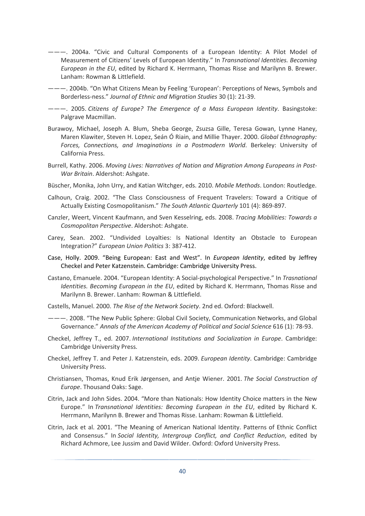- ———. 2004a. "Civic and Cultural Components of a European Identity: A Pilot Model of Measurement of Citizens' Levels of European Identity." In *Transnational Identities. Becoming European in the EU*, edited by Richard K. Herrmann, Thomas Risse and Marilynn B. Brewer. Lanham: Rowman & Littlefield.
- ———. 2004b. "On What Citizens Mean by Feeling 'European': Perceptions of News, Symbols and Borderless-ness." *Journal of Ethnic and Migration Studies* 30 (1): 21-39.
- ———. 2005. *Citizens of Europe? The Emergence of a Mass European Identity*. Basingstoke: Palgrave Macmillan.
- Burawoy, Michael, Joseph A. Blum, Sheba George, Zsuzsa Gille, Teresa Gowan, Lynne Haney, Maren Klawiter, Steven H. Lopez, Seán Ó Riain, and Millie Thayer. 2000. *Global Ethnography: Forces, Connections, and Imaginations in a Postmodern World*. Berkeley: University of California Press.
- Burrell, Kathy. 2006. *Moving Lives: Narratives of Nation and Migration Among Europeans in Post-War Britain*. Aldershot: Ashgate.
- Büscher, Monika, John Urry, and Katian Witchger, eds. 2010. *Mobile Methods*. London: Routledge.
- Calhoun, Craig. 2002. "The Class Consciousness of Frequent Travelers: Toward a Critique of Actually Existing Cosmopolitanism." *The South Atlantic Quarterly* 101 (4): 869-897.
- Canzler, Weert, Vincent Kaufmann, and Sven Kesselring, eds. 2008. *Tracing Mobilities: Towards a Cosmopolitan Perspective*. Aldershot: Ashgate.
- Carey, Sean. 2002. "Undivided Loyalties: Is National Identity an Obstacle to European Integration?" *European Union Politics* 3: 387-412.
- Case, Holly. 2009. "Being European: East and West". In *European Identity*, edited by Jeffrey Checkel and Peter Katzenstein. Cambridge: Cambridge University Press.
- Castano, Emanuele. 2004. "European Identity: A Social-psychological Perspective." In *Trasnational Identities. Becoming European in the EU*, edited by Richard K. Herrmann, Thomas Risse and Marilynn B. Brewer. Lanham: Rowman & Littlefield.
- Castells, Manuel. 2000. *The Rise of the Network Society*. 2nd ed. Oxford: Blackwell.
- ———. 2008. "The New Public Sphere: Global Civil Society, Communication Networks, and Global Governance." *Annals of the American Academy of Political and Social Science* 616 (1): 78-93.
- Checkel, Jeffrey T., ed. 2007. *International Institutions and Socialization in Europe*. Cambridge: Cambridge University Press.
- Checkel, Jeffrey T. and Peter J. Katzenstein, eds. 2009. *European Identity*. Cambridge: Cambridge University Press.
- Christiansen, Thomas, Knud Erik Jørgensen, and Antje Wiener. 2001. *The Social Construction of Europe*. Thousand Oaks: Sage.
- Citrin, Jack and John Sides. 2004. "More than Nationals: How Identity Choice matters in the New Europe." In *Transnational Identities: Becoming European in the EU*, edited by Richard K. Herrmann, Marilynn B. Brewer and Thomas Risse. Lanham: Rowman & Littlefield.
- Citrin, Jack et al. 2001. "The Meaning of American National Identity. Patterns of Ethnic Conflict and Consensus." In *Social Identity, Intergroup Conflict, and Conflict Reduction*, edited by Richard Achmore, Lee Jussim and David Wilder. Oxford: Oxford University Press.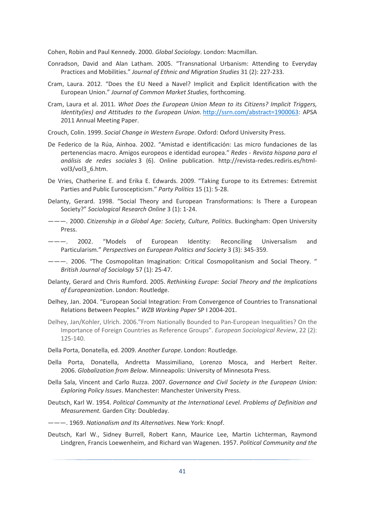Cohen, Robin and Paul Kennedy. 2000. *Global Sociology*. London: Macmillan.

- Conradson, David and Alan Latham. 2005. "Transnational Urbanism: Attending to Everyday Practices and Mobilities." *Journal of Ethnic and Migration Studies* 31 (2): 227-233.
- Cram, Laura. 2012. "Does the EU Need a Navel? Implicit and Explicit Identification with the European Union." *Journal of Common Market Studies*, forthcoming.
- Cram, Laura et al. 2011*. What Does the European Union Mean to its Citizens? Implicit Triggers, Identity(ies) and Attitudes to the European Union*. http://ssrn.com/abstract=1900063: APSA 2011 Annual Meeting Paper.
- Crouch, Colin. 1999. *Social Change in Western Europe*. Oxford: Oxford University Press.
- De Federico de la Rúa, Ainhoa. 2002. "Amistad e identificación: Las micro fundaciones de las pertenencias macro. Amigos europeos e identidad europea." *Redes - Revista hispana para el análisis de redes sociales* 3 (6). Online publication. http://revista-redes.rediris.es/htmlvol3/vol3\_6.htm.
- De Vries, Chatherine E. and Erika E. Edwards. 2009. "Taking Europe to its Extremes: Extremist Parties and Public Euroscepticism." *Party Politics* 15 (1): 5-28.
- Delanty, Gerard. 1998. "Social Theory and European Transformations: Is There a European Society?" *Sociological Research Online* 3 (1): 1-24.
- ———. 2000. *Citizenship in a Global Age: Society, Culture, Politics*. Buckingham: Open University **Press**
- --- 2002. "Models of European Identity: Reconciling Universalism and Particularism." *Perspectives on European Politics and Society* 3 (3): 345-359.
- ———. 2006. "The Cosmopolitan Imagination: Critical Cosmopolitanism and Social Theory. " *British Journal of Sociology* 57 (1): 25-47.
- Delanty, Gerard and Chris Rumford. 2005. *Rethinking Europe: Social Theory and the Implications of Europeanization*. London: Routledge.
- Delhey, Jan. 2004. "European Social Integration: From Convergence of Countries to Transnational Relations Between Peoples." *WZB Working Paper* SP I 2004-201.
- Delhey, Jan/Kohler, Ulrich. 2006."From Nationally Bounded to Pan-European Inequalities? On the Importance of Foreign Countries as Reference Groups". *European Sociological Review*, 22 (2): 125-140.
- Della Porta, Donatella, ed. 2009. *Another Europe*. London: Routledge.
- Della Porta, Donatella, Andretta Massimiliano, Lorenzo Mosca, and Herbert Reiter. 2006. *Globalization from Below*. Minneapolis: University of Minnesota Press.
- Della Sala, Vincent and Carlo Ruzza. 2007. *Governance and Civil Society in the European Union: Exploring Policy Issues*. Manchester: Manchester University Press.
- Deutsch, Karl W. 1954. *Political Community at the International Level. Problems of Definition and Measurement.* Garden City: Doubleday.

———. 1969. *Nationalism and Its Alternatives*. New York: Knopf.

Deutsch, Karl W., Sidney Burrell, Robert Kann, Maurice Lee, Martin Lichterman, Raymond Lindgren, Francis Loewenheim, and Richard van Wagenen. 1957. *Political Community and the*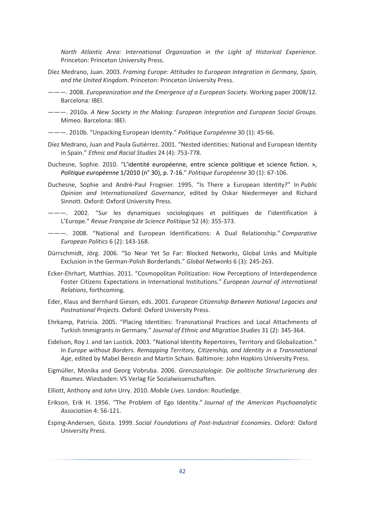*North Atlantic Area: International Organization in the Light of Historical Experience*. Princeton: Princeton University Press.

- Díez Medrano, Juan. 2003. *Framing Europe: Attitudes to European Integration in Germany, Spain, and the United Kingdom*. Princeton: Princeton University Press.
- ———. 2008. *Europeanization and the Emergence of a European Society*. Working paper 2008/12. Barcelona: IBEI.
- ———. 2010a. *A New Society in the Making: European Integration and European Social Groups.* Mimeo. Barcelona: IBEI.
- ———. 2010b. "Unpacking European Identity." *Politique Européenne* 30 (1): 45-66.
- Díez Medrano, Juan and Paula Gutiérrez. 2001. "Nested identities: National and European Identity in Spain." *Ethnic and Racial Studies* 24 (4): 753-778.
- Duchesne, Sophie. 2010. "L'identité européenne, entre science politique et science fiction. », *Politique européenne* 1/2010 (n° 30), p. 7-16." *Politique Européenne* 30 (1): 67-106.
- Duchesne, Sophie and André-Paul Frognier. 1995. "Is There a European Identity?" In *Public Opinion and Internationalized Governance*, edited by Oskar Niedermeyer and Richard Sinnott. Oxford: Oxford University Press.
- ———. 2002. "Sur les dynamiques sociologiques et politiques de l'identification à L'Europe." *Revue Française de Science Politique* 52 (4): 355-373.
- ———. 2008. "National and European Identifications: A Dual Relationship." *Comparative European Politics* 6 (2): 143-168.
- Dürrschmidt, Jörg. 2006. "So Near Yet So Far: Blocked Networks, Global Links and Multiple Exclusion in the German-Polish Borderlands." *Global Networks* 6 (3): 245-263.
- Ecker-Ehrhart, Matthias. 2011. "Cosmopolitan Politization: How Perceptions of Interdependence Foster Citizens Expectations in International Institutions." *European Journal of international Relations*, forthcoming.
- Eder, Klaus and Bernhard Giesen, eds. 2001. *European Citizenship Between National Legacies and Postnational Projects*. Oxford: Oxford University Press.
- Ehrkamp, Patricia. 2005. "Placing Identities: Transnational Practices and Local Attachments of Turkish Immigrants in Germany." *Journal of Ethnic and Migration Studies* 31 (2): 345-364.
- Eidelson, Roy J. and Ian Lustick. 2003. "National Identity Repertoires, Territory and Globalization." In *Europe without Borders. Remapping Territory, Citizenship, and Identity in a Transnational Age*, edited by Mabel Berezin and Martin Schain. Baltimore: John Hopkins University Press.
- Eigmüller, Monika and Georg Vobruba. 2006. *Grenzsoziologie. Die politische Structurierung des Raumes*. Wiesbaden: VS Verlag für Sozialwissenschaften.
- Elliott, Anthony and John Urry. 2010. *Mobile Lives*. London: Routledge.
- Erikson, Erik H. 1956. "The Problem of Ego Identity." *Journal of the American Psychoanalytic Association* 4: 56-121.
- Esping-Andersen, Gösta. 1999. *Social Foundations of Post-Industrial Economies*. Oxford: Oxford University Press.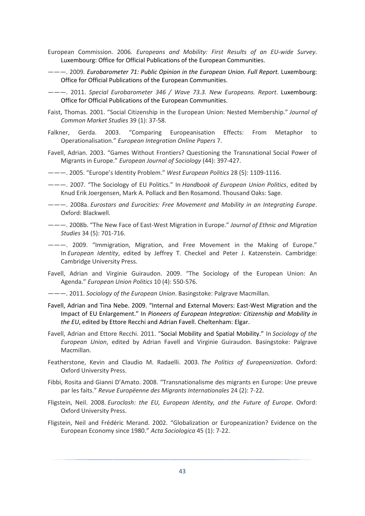- European Commission. 2006*. Europeans and Mobility: First Results of an EU-wide Survey*. Luxembourg: Office for Official Publications of the European Communities.
- ———. 2009*. Eurobarometer 71: Public Opinion in the European Union. Full Report.* Luxembourg: Office for Official Publications of the European Communities.
- ———. 2011. *Special Eurobarometer 346 / Wave 73.3. New Europeans. Report*. Luxembourg: Office for Official Publications of the European Communities.
- Faist, Thomas. 2001. "Social Citizenship in the European Union: Nested Membership." *Journal of Common Market Studies* 39 (1): 37-58.
- Falkner, Gerda. 2003. "Comparing Europeanisation Effects: From Metaphor to Operationalisation." *European Integration Online Papers* 7.
- Favell, Adrian. 2003. "Games Without Frontiers? Questioning the Transnational Social Power of Migrants in Europe." *European Journal of Sociology* (44): 397-427.
- ———. 2005. "Europe's Identity Problem." *West European Politics* 28 (5): 1109-1116.
- ———. 2007. "The Sociology of EU Politics." In *Handbook of European Union Politics*, edited by Knud Erik Joergensen, Mark A. Pollack and Ben Rosamond. Thousand Oaks: Sage.
- ———. 2008a. *Eurostars and Eurocities: Free Movement and Mobility in an Integrating Europe*. Oxford: Blackwell.
- ———. 2008b. "The New Face of East-West Migration in Europe." *Journal of Ethnic and Migration Studies* 34 (5): 701-716.
- ———. 2009. "Immigration, Migration, and Free Movement in the Making of Europe." In *European Identity*, edited by Jeffrey T. Checkel and Peter J. Katzenstein. Cambridge: Cambridge University Press.
- Favell, Adrian and Virginie Guiraudon. 2009. "The Sociology of the European Union: An Agenda." *European Union Politics* 10 (4): 550-576.
- ———. 2011. *Sociology of the European Union*. Basingstoke: Palgrave Macmillan.
- Favell, Adrian and Tina Nebe. 2009. "Internal and External Movers: East-West Migration and the Impact of EU Enlargement." In *Pioneers of European Integration: Citizenship and Mobility in the EU*, edited by Ettore Recchi and Adrian Favell. Cheltenham: Elgar.
- Favell, Adrian and Ettore Recchi. 2011. "Social Mobility and Spatial Mobility." In *Sociology of the European Union*, edited by Adrian Favell and Virginie Guiraudon. Basingstoke: Palgrave Macmillan.
- Featherstone, Kevin and Claudio M. Radaelli. 2003. *The Politics of Europeanization*. Oxford: Oxford University Press.
- Fibbi, Rosita and Gianni D'Amato. 2008. "Transnationalisme des migrants en Europe: Une preuve par les faits." *Revue Europëenne des Migrants Internationales* 24 (2): 7-22.
- Fligstein, Neil. 2008. *Euroclash: the EU, European Identity, and the Future of Europe*. Oxford: Oxford University Press.
- Fligstein, Neil and Frédéric Merand. 2002. "Globalization or Europeanization? Evidence on the European Economy since 1980." *Acta Sociologica* 45 (1): 7-22.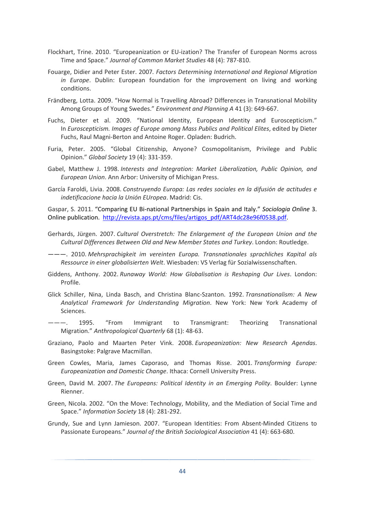- Flockhart, Trine. 2010. "Europeanization or EU-ization? The Transfer of European Norms across Time and Space." *Journal of Common Market Studies* 48 (4): 787-810.
- Fouarge, Didier and Peter Ester. 2007*. Factors Determining International and Regional Migration in Europe*. Dublin: European foundation for the improvement on living and working conditions.
- Frändberg, Lotta. 2009. "How Normal is Travelling Abroad? Differences in Transnational Mobility Among Groups of Young Swedes." *Environment and Planning A* 41 (3): 649-667.
- Fuchs, Dieter et al. 2009. "National Identity, European Identity and Euroscepticism." In *Euroscepticism. Images of Europe among Mass Publics and Political Elites*, edited by Dieter Fuchs, Raul Magni-Berton and Antoine Roger. Opladen: Budrich.
- Furia, Peter. 2005. "Global Citizenship, Anyone? Cosmopolitanism, Privilege and Public Opinion." *Global Society* 19 (4): 331-359.
- Gabel, Matthew J. 1998. *Interests and Integration: Market Liberalization, Public Opinion, and European Union*. Ann Arbor: University of Michigan Press.
- García Faroldi, Livia. 2008. *Construyendo Europa: Las redes sociales en la difusión de actitudes e indetificacione hacia la Unión EUropea*. Madrid: Cis.

Gaspar, S. 2011. "Comparing EU Bi-national Partnerships in Spain and Italy." *Sociologia Online* 3. Online publication. http://revista.aps.pt/cms/files/artigos\_pdf/ART4dc28e96f0538.pdf.

- Gerhards, Jürgen. 2007. *Cultural Overstretch: The Enlargement of the European Union and the Cultural Differences Between Old and New Member States and Turkey*. London: Routledge.
- ———. 2010. *Mehrsprachigkeit im vereinten Europa. Transnationales sprachliches Kapital als Ressource in einer globalisierten Welt*. Wiesbaden: VS Verlag für Sozialwissenschaften.
- Giddens, Anthony. 2002. *Runaway World: How Globalisation is Reshaping Our Lives*. London: Profile.
- Glick Schiller, Nina, Linda Basch, and Christina Blanc-Szanton. 1992. *Transnationalism: A New Analytical Framework for Understanding Migration*. New York: New York Academy of Sciences.
- ---. 1995. "From Immigrant to Transmigrant: Theorizing Transnational Migration." *Anthropological Quarterly* 68 (1): 48-63.
- Graziano, Paolo and Maarten Peter Vink. 2008. *Europeanization: New Research Agendas*. Basingstoke: Palgrave Macmillan.
- Green Cowles, Maria, James Caporaso, and Thomas Risse. 2001. *Transforming Europe: Europeanization and Domestic Change*. Ithaca: Cornell University Press.
- Green, David M. 2007. *The Europeans: Political Identity in an Emerging Polity*. Boulder: Lynne Rienner.
- Green, Nicola. 2002. "On the Move: Technology, Mobility, and the Mediation of Social Time and Space." *Information Society* 18 (4): 281-292.
- Grundy, Sue and Lynn Jamieson. 2007. "European Identities: From Absent-Minded Citizens to Passionate Europeans." *Journal of the British Sociological Association* 41 (4): 663-680.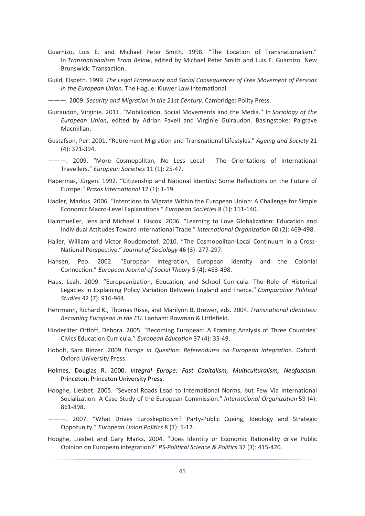- Guarnizo, Luis E. and Michael Peter Smith. 1998. "The Location of Transnationalism." In *Transnationalism From Below*, edited by Michael Peter Smith and Luis E. Guarnizo. New Brunswick: Transaction.
- Guild, Elspeth. 1999. *The Legal Framework and Social Consequences of Free Movement of Persons in the European Union*. The Hague: Kluwer Law International.

———. 2009. *Security and Migration in the 21st Century*. Cambridge: Polity Press.

- Guiraudon, Virginie. 2011. "Mobilization, Social Movements and the Media." In *Sociology of the European Union*, edited by Adrian Favell and Virginie Guiraudon. Basingstoke: Palgrave Macmillan.
- Gustafson, Per. 2001. "Retirement Migration and Transnational Lifestyles." *Ageing and Society* 21 (4): 371-394.
- ———. 2009. "More Cosmopolitan, No Less Local The Orientations of International Travellers." *European Societies* 11 (1): 25-47.
- Habermas, Jürgen. 1992. "Citizenship and National Identity: Some Reflections on the Future of Europe." *Praxis International* 12 (1): 1-19.
- Hadler, Markus. 2006. "Intentions to Migrate Within the European Union: A Challenge for Simple Economic Macro-Level Explanations " *European Societies* 8 (1): 111-140.
- Hainmueller, Jens and Michael J. Hiscox. 2006. "Learning to Love Globalization: Education and Individual Attitudes Toward International Trade." *International Organization* 60 (2): 469-498.
- Haller, William and Victor Roudometof. 2010. "The Cosmopolitan-Local Continuum in a Cross-National Perspective." *Journal of Sociology* 46 (3): 277-297.
- Hansen, Peo. 2002. "European Integration, European Identity and the Colonial Connection." *European Journal of Social Theory* 5 (4): 483-498.
- Haus, Leah. 2009. "Europeanization, Education, and School Curricula: The Role of Historical Legacies in Explaining Policy Variation Between England and France." *Comparative Political Studies* 42 (7): 916-944.
- Herrmann, Richard K., Thomas Risse, and Marilynn B. Brewer, eds. 2004. *Transnational Identities: Becoming European in the EU*. Lanham: Rowman & Littlefield.
- Hinderliter Ortloff, Debora. 2005. "Becoming European: A Framing Analysis of Three Countries' Civics Education Curricula." *European Education* 37 (4): 35-49.
- Hobolt, Sara Binzer. 2009. *Europe in Question: Referendums on European integration*. Oxford: Oxford University Press.
- Holmes, Douglas R. 2000. *Integral Europe: Fast Capitalism, Multiculturalism, Neofascism*. Princeton: Princeton University Press.
- Hooghe, Liesbet. 2005. "Several Roads Lead to International Norms, but Few Via International Socialization: A Case Study of the European Commission." *International Organization* 59 (4): 861-898.
- ———. 2007. "What Drives Euroskepticism? Party-Public Cueing, Ideology and Strategic Oppotunity." *European Union Politics* 8 (1): 5-12.
- Hooghe, Liesbet and Gary Marks. 2004. "Does Identity or Economic Rationality drive Public Opinion on European integration?" *PS-Political Science & Politics* 37 (3): 415-420.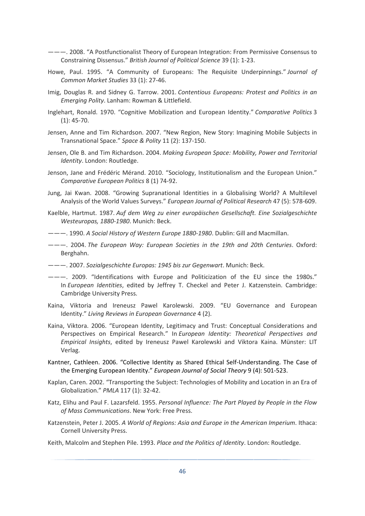- ———. 2008. "A Postfunctionalist Theory of European Integration: From Permissive Consensus to Constraining Dissensus." *British Journal of Political Science* 39 (1): 1-23.
- Howe, Paul. 1995. "A Community of Europeans: The Requisite Underpinnings." *Journal of Common Market Studies* 33 (1): 27-46.
- Imig, Douglas R. and Sidney G. Tarrow. 2001. *Contentious Europeans: Protest and Politics in an Emerging Polity*. Lanham: Rowman & Littlefield.
- Inglehart, Ronald. 1970. "Cognitive Mobilization and European Identity." *Comparative Politics* 3 (1): 45-70.
- Jensen, Anne and Tim Richardson. 2007. "New Region, New Story: Imagining Mobile Subjects in Transnational Space." *Space & Polity* 11 (2): 137-150.
- Jensen, Ole B. and Tim Richardson. 2004. *Making European Space: Mobility, Power and Territorial Identity*. London: Routledge.
- Jenson, Jane and Frédéric Mérand. 2010. "Sociology, Institutionalism and the European Union." *Comparative European Politics* 8 (1) 74-92.
- Jung, Jai Kwan. 2008. "Growing Supranational Identities in a Globalising World? A Multilevel Analysis of the World Values Surveys." *European Journal of Political Research* 47 (5): 578-609.
- Kaelble, Hartmut. 1987. *Auf dem Weg zu einer europäischen Gesellschaft. Eine Sozialgeschichte Westeuropas, 1880-1980*. Munich: Beck.
- ———. 1990. *A Social History of Western Europe 1880-1980*. Dublin: Gill and Macmillan.
- ———. 2004. *The European Way: European Societies in the 19th and 20th Centuries*. Oxford: Berghahn.
- ———. 2007. *Sozialgeschichte Europas: 1945 bis zur Gegenwart*. Munich: Beck.
- ———. 2009. "Identifications with Europe and Politicization of the EU since the 1980s." In *European Identities*, edited by Jeffrey T. Checkel and Peter J. Katzenstein. Cambridge: Cambridge University Press.
- Kaina, Viktoria and Ireneusz Pawel Karolewski. 2009. "EU Governance and European Identity." *Living Reviews in European Governance* 4 (2).
- Kaina, Viktora. 2006. "European Identity, Legitimacy and Trust: Conceptual Considerations and Perspectives on Empirical Research." In *European Identity: Theoretical Perspectives and Empirical Insights*, edited by Ireneusz Pawel Karolewski and Viktora Kaina. Münster: LIT Verlag.
- Kantner, Cathleen. 2006. "Collective Identity as Shared Ethical Self-Understanding. The Case of the Emerging European Identity." *European Journal of Social Theory* 9 (4): 501-523.
- Kaplan, Caren. 2002. "Transporting the Subject: Technologies of Mobility and Location in an Era of Globalization." *PMLA* 117 (1): 32-42.
- Katz, Elihu and Paul F. Lazarsfeld. 1955. *Personal Influence: The Part Played by People in the Flow of Mass Communications*. New York: Free Press.
- Katzenstein, Peter J. 2005. *A World of Regions: Asia and Europe in the American Imperium*. Ithaca: Cornell University Press.
- Keith, Malcolm and Stephen Pile. 1993. *Place and the Politics of Identity*. London: Routledge.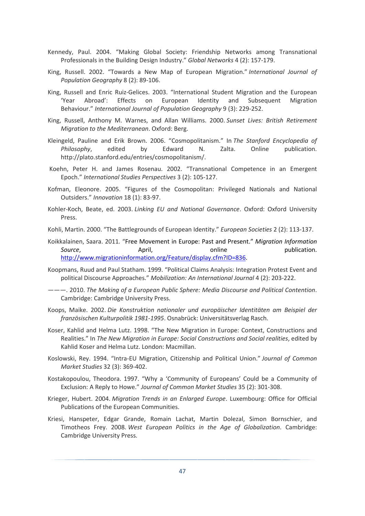- Kennedy, Paul. 2004. "Making Global Society: Friendship Networks among Transnational Professionals in the Building Design Industry." *Global Networks* 4 (2): 157-179.
- King, Russell. 2002. "Towards a New Map of European Migration." *International Journal of Population Geography* 8 (2): 89-106.
- King, Russell and Enric Ruiz-Gelices. 2003. "International Student Migration and the European 'Year Abroad': Effects on European Identity and Subsequent Migration Behaviour." *International Journal of Population Geography* 9 (3): 229-252.
- King, Russell, Anthony M. Warnes, and Allan Williams. 2000. *Sunset Lives: British Retirement Migration to the Mediterranean*. Oxford: Berg.
- Kleingeld, Pauline and Erik Brown. 2006. "Cosmopolitanism." In *The Stanford Encyclopedia of Philosophy*, edited by Edward N. Zalta. Online publication. http://plato.stanford.edu/entries/cosmopolitanism/.
- Koehn, Peter H. and James Rosenau. 2002. "Transnational Competence in an Emergent Epoch." *International Studies Perspectives* 3 (2): 105-127.
- Kofman, Eleonore. 2005. "Figures of the Cosmopolitan: Privileged Nationals and National Outsiders." *Innovation* 18 (1): 83-97.
- Kohler-Koch, Beate, ed. 2003. *Linking EU and National Governance*. Oxford: Oxford University Press.
- Kohli, Martin. 2000. "The Battlegrounds of European Identity." *European Societies* 2 (2): 113-137.
- Koikkalainen, Saara. 2011*.* "Free Movement in Europe: Past and Present." *Migration Information*  **Source, Source, April, April, April, April, April, April, April, April, April, April, April, April, April, April, April, April, April, April, April, April, April, April, April, April, April, April, April, April, April, Ap** http://www.migrationinformation.org/Feature/display.cfm?ID=836.
- Koopmans, Ruud and Paul Statham. 1999. "Political Claims Analysis: Integration Protest Event and political Discourse Approaches." *Mobilization: An International Journal* 4 (2): 203-222.
- ———. 2010. *The Making of a European Public Sphere: Media Discourse and Political Contention*. Cambridge: Cambridge University Press.
- Koops, Maike. 2002. *Die Konstruktion nationaler und europäischer Identitäten am Beispiel der französischen Kulturpolitik 1981-1995*. Osnabrück: Universitätsverlag Rasch.
- Koser, Kahlid and Helma Lutz. 1998. "The New Migration in Europe: Context, Constructions and Realities." In *The New Migration in Europe: Social Constructions and Social realities*, edited by Kahlid Koser and Helma Lutz. London: Macmillan.
- Koslowski, Rey. 1994. "Intra-EU Migration, Citizenship and Political Union." *Journal of Common Market Studies* 32 (3): 369-402.
- Kostakopoulou, Theodora. 1997. "Why a 'Community of Europeans' Could be a Community of Exclusion: A Reply to Howe." *Journal of Common Market Studies* 35 (2): 301-308.
- Krieger, Hubert. 2004. *Migration Trends in an Enlarged Europe*. Luxembourg: Office for Official Publications of the European Communities.
- Kriesi, Hanspeter, Edgar Grande, Romain Lachat, Martin Dolezal, Simon Bornschier, and Timotheos Frey. 2008. *West European Politics in the Age of Globalization*. Cambridge: Cambridge University Press.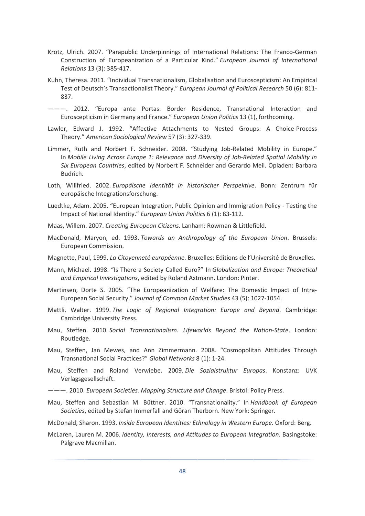- Krotz, Ulrich. 2007. "Parapublic Underpinnings of International Relations: The Franco-German Construction of Europeanization of a Particular Kind." *European Journal of International Relations* 13 (3): 385-417.
- Kuhn, Theresa. 2011. "Individual Transnationalism, Globalisation and Euroscepticism: An Empirical Test of Deutsch's Transactionalist Theory." *European Journal of Political Research* 50 (6): 811- 837.
- ———. 2012. "Europa ante Portas: Border Residence, Transnational Interaction and Euroscepticism in Germany and France." *European Union Politics* 13 (1), forthcoming.
- Lawler, Edward J. 1992. "Affective Attachments to Nested Groups: A Choice-Process Theory." *American Sociological Review* 57 (3): 327-339.
- Limmer, Ruth and Norbert F. Schneider. 2008. "Studying Job-Related Mobility in Europe." In *Mobile Living Across Europe 1: Relevance and Diversity of Job-Related Spatial Mobility in Six European Countries*, edited by Norbert F. Schneider and Gerardo Meil. Opladen: Barbara Budrich.
- Loth, Wilifried. 2002. *Europäische Identität in historischer Perspektive*. Bonn: Zentrum für europäische Integrationsforschung.
- Luedtke, Adam. 2005. "European Integration, Public Opinion and Immigration Policy Testing the Impact of National Identity." *European Union Politics* 6 (1): 83-112.

Maas, Willem. 2007. *Creating European Citizens*. Lanham: Rowman & Littlefield.

- MacDonald, Maryon, ed. 1993. *Towards an Anthropology of the European Union*. Brussels: European Commission.
- Magnette, Paul, 1999. *La Citoyenneté européenne*. Bruxelles: Editions de l'Université de Bruxelles.
- Mann, Michael. 1998. "Is There a Society Called Euro?" In *Globalization and Europe: Theoretical and Empirical Investigations*, edited by Roland Axtmann. London: Pinter.
- Martinsen, Dorte S. 2005. "The Europeanization of Welfare: The Domestic Impact of Intra-European Social Security." *Journal of Common Market Studies* 43 (5): 1027-1054.
- Mattli, Walter. 1999. *The Logic of Regional Integration: Europe and Beyond*. Cambridge: Cambridge University Press.
- Mau, Steffen. 2010. *Social Transnationalism. Lifeworlds Beyond the Nation-State*. London: Routledge.
- Mau, Steffen, Jan Mewes, and Ann Zimmermann. 2008. "Cosmopolitan Attitudes Through Transnational Social Practices?" *Global Networks* 8 (1): 1-24.
- Mau, Steffen and Roland Verwiebe. 2009. *Die Sozialstruktur Europas*. Konstanz: UVK Verlagsgesellschaft.
- ———. 2010. *European Societies. Mapping Structure and Change*. Bristol: Policy Press.
- Mau, Steffen and Sebastian M. Büttner. 2010. "Transnationality." In *Handbook of European Societies*, edited by Stefan Immerfall and Göran Therborn. New York: Springer.
- McDonald, Sharon. 1993. *Inside European Identities: Ethnology in Western Europe*. Oxford: Berg.
- McLaren, Lauren M. 2006. *Identity, Interests, and Attitudes to European Integration*. Basingstoke: Palgrave Macmillan.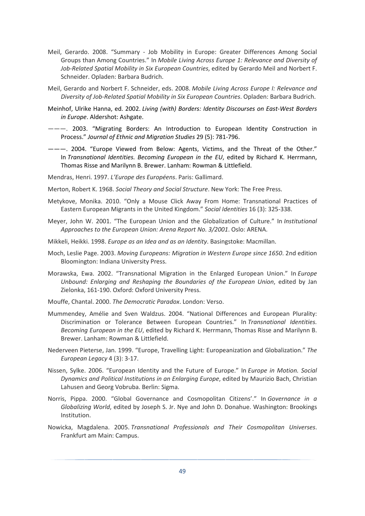- Meil, Gerardo. 2008. "Summary Job Mobility in Europe: Greater Differences Among Social Groups than Among Countries." In *Mobile Living Across Europe 1: Relevance and Diversity of Job-Related Spatial Mobility in Six European Countries*, edited by Gerardo Meil and Norbert F. Schneider. Opladen: Barbara Budrich.
- Meil, Gerardo and Norbert F. Schneider, eds. 2008. *Mobile Living Across Europe I: Relevance and Diversity of Job-Related Spatial Mobility in Six European Countries*. Opladen: Barbara Budrich.
- Meinhof, Ulrike Hanna, ed. 2002. *Living (with) Borders: Identity Discourses on East-West Borders in Europe*. Aldershot: Ashgate.
- ———. 2003. "Migrating Borders: An Introduction to European Identity Construction in Process." *Journal of Ethnic and Migration Studies* 29 (5): 781-796.
- ———. 2004. "Europe Viewed from Below: Agents, Victims, and the Threat of the Other." In *Transnational Identities. Becoming European in the EU*, edited by Richard K. Herrmann, Thomas Risse and Marilynn B. Brewer. Lanham: Rowman & Littlefield.
- Mendras, Henri. 1997. *L'Europe des Européens*. Paris: Gallimard.
- Merton, Robert K. 1968. *Social Theory and Social Structure*. New York: The Free Press.
- Metykove, Monika. 2010. "Only a Mouse Click Away From Home: Transnational Practices of Eastern European Migrants in the United Kingdom." *Social Identities* 16 (3): 325-338.
- Meyer, John W. 2001. "The European Union and the Globalization of Culture." In *Institutional Approaches to the European Union: Arena Report No. 3/2001*. Oslo: ARENA.
- Mikkeli, Heikki. 1998. *Europe as an Idea and as an Identity*. Basingstoke: Macmillan.
- Moch, Leslie Page. 2003. *Moving Europeans: Migration in Western Europe since 1650*. 2nd edition Bloomington: Indiana University Press.
- Morawska, Ewa. 2002. "Transnational Migration in the Enlarged European Union." In *Europe Unbound: Enlarging and Reshaping the Boundaries of the European Union*, edited by Jan Zielonka, 161-190. Oxford: Oxford University Press.
- Mouffe, Chantal. 2000. *The Democratic Paradox*. London: Verso.
- Mummendey, Amélie and Sven Waldzus. 2004. "National Differences and European Plurality: Discrimination or Tolerance Between European Countries." In *Transnational Identities. Becoming European in the EU*, edited by Richard K. Herrmann, Thomas Risse and Marilynn B. Brewer. Lanham: Rowman & Littlefield.
- Nederveen Pieterse, Jan. 1999. "Europe, Travelling Light: Europeanization and Globalization." *The European Legacy* 4 (3): 3-17.
- Nissen, Sylke. 2006. "European Identity and the Future of Europe." In *Europe in Motion. Social Dynamics and Political Institutions in an Enlarging Europe*, edited by Maurizio Bach, Christian Lahusen and Georg Vobruba. Berlin: Sigma.
- Norris, Pippa. 2000. "Global Governance and Cosmopolitan Citizens'." In *Governance in a Globalizing World*, edited by Joseph S. Jr. Nye and John D. Donahue. Washington: Brookings Institution.
- Nowicka, Magdalena. 2005. *Transnational Professionals and Their Cosmopolitan Universes*. Frankfurt am Main: Campus.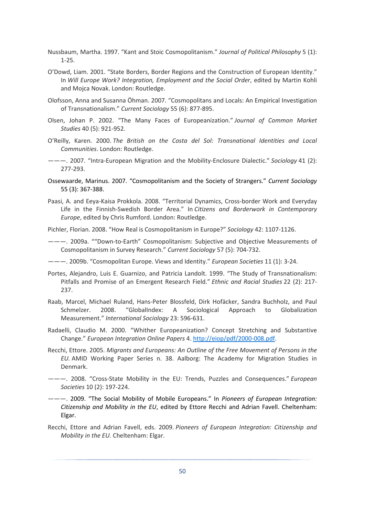- Nussbaum, Martha. 1997. "Kant and Stoic Cosmopolitanism." *Journal of Political Philosophy* 5 (1): 1-25.
- O'Dowd, Liam. 2001. "State Borders, Border Regions and the Construction of European Identity." In *Will Europe Work? Integration, Employment and the Social Order*, edited by Martin Kohli and Mojca Novak. London: Routledge.
- Olofsson, Anna and Susanna Öhman. 2007. "Cosmopolitans and Locals: An Empirical Investigation of Transnationalism." *Current Sociology* 55 (6): 877-895.
- Olsen, Johan P. 2002. "The Many Faces of Europeanization." *Journal of Common Market Studies* 40 (5): 921-952.
- O'Reilly, Karen. 2000. *The British on the Costa del Sol: Transnational Identities and Local Communities*. London: Routledge.
- ———. 2007. "Intra-European Migration and the Mobility-Enclosure Dialectic." *Sociology* 41 (2): 277-293.
- Ossewaarde, Marinus. 2007. "Cosmopolitanism and the Society of Strangers." *Current Sociology*  55 (3): 367-388.
- Paasi, A. and Eeya-Kaisa Prokkola. 2008. "Territorial Dynamics, Cross-border Work and Everyday Life in the Finnish-Swedish Border Area." In *Citizens and Borderwork in Contemporary Europe*, edited by Chris Rumford. London: Routledge.

Pichler, Florian. 2008. "How Real is Cosmopolitanism in Europe?" *Sociology* 42: 1107-1126.

———. 2009a. ""Down-to-Earth" Cosmopolitanism: Subjective and Objective Measurements of Cosmopolitanism in Survey Research." *Current Sociology* 57 (5): 704-732.

———. 2009b. "Cosmopolitan Europe. Views and Identity." *European Societies* 11 (1): 3-24.

- Portes, Alejandro, Luis E. Guarnizo, and Patricia Landolt. 1999. "The Study of Transnationalism: Pitfalls and Promise of an Emergent Research Field." *Ethnic and Racial Studies* 22 (2): 217- 237.
- Raab, Marcel, Michael Ruland, Hans-Peter Blossfeld, Dirk Hofäcker, Sandra Buchholz, and Paul Schmelzer. 2008. "GlobalIndex: A Sociological Approach to Globalization Measurement." *International Sociology* 23: 596-631.
- Radaelli, Claudio M. 2000. "Whither Europeanization? Concept Stretching and Substantive Change." *European Integration Online Papers* 4. http://eiop/pdf/2000-008.pdf.
- Recchi, Ettore. 2005. *Migrants and Europeans: An Outline of the Free Movement of Persons in the EU.* AMID Working Paper Series n. 38. Aalborg: The Academy for Migration Studies in Denmark.
- ———. 2008. "Cross-State Mobility in the EU: Trends, Puzzles and Consequences." *European Societies* 10 (2): 197-224.
- ———. 2009. "The Social Mobility of Mobile Europeans." In *Pioneers of European Integration: Citizenship and Mobility in the EU*, edited by Ettore Recchi and Adrian Favell. Cheltenham: Elgar.
- Recchi, Ettore and Adrian Favell, eds. 2009. *Pioneers of European Integration: Citizenship and Mobility in the EU.* Cheltenham: Elgar.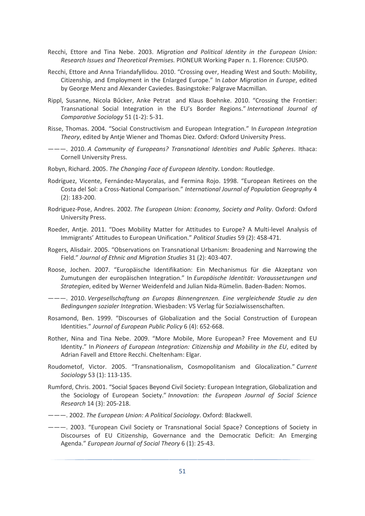- Recchi, Ettore and Tina Nebe. 2003. *Migration and Political Identity in the European Union: Research Issues and Theoretical Premises.* PIONEUR Working Paper n. 1. Florence: CIUSPO.
- Recchi, Ettore and Anna Triandafyllidou. 2010. "Crossing over, Heading West and South: Mobility, Citizenship, and Employment in the Enlarged Europe." In *Labor Migration in Europe*, edited by George Menz and Alexander Caviedes. Basingstoke: Palgrave Macmillan.
- Rippl, Susanne, Nicola Bűcker, Anke Petrat and Klaus Boehnke. 2010. "Crossing the Frontier: Transnational Social Integration in the EU's Border Regions." *International Journal of Comparative Sociology* 51 (1-2): 5-31.
- Risse, Thomas. 2004. "Social Constructivism and European Integration." In *European Integration Theory*, edited by Antje Wiener and Thomas Diez. Oxford: Oxford University Press.
- ———. 2010. *A Community of Europeans? Transnational Identities and Public Spheres*. Ithaca: Cornell University Press.
- Robyn, Richard. 2005. *The Changing Face of European Identity*. London: Routledge.
- Rodríguez, Vicente, Fernández-Mayoralas, and Fermina Rojo. 1998. "European Retirees on the Costa del Sol: a Cross-National Comparison." *International Journal of Population Geography* 4 (2): 183-200.
- Rodriguez-Pose, Andres. 2002. *The European Union: Economy, Society and Polity*. Oxford: Oxford University Press.
- Roeder, Antje. 2011. "Does Mobility Matter for Attitudes to Europe? A Multi-level Analysis of Immigrants' Attitudes to European Unification." *Political Studies* 59 (2): 458-471.
- Rogers, Alisdair. 2005. "Observations on Transnational Urbanism: Broadening and Narrowing the Field." *Journal of Ethnic and Migration Studies* 31 (2): 403-407.
- Roose, Jochen. 2007. "Europäische Identifikation: Ein Mechanismus für die Akzeptanz von Zumutungen der europäischen Integration." In *Europäische Identität: Voraussetzungen und Strategien*, edited by Werner Weidenfeld and Julian Nida-Rümelin. Baden-Baden: Nomos.
- ———. 2010. *Vergesellschaftung an Europas Binnengrenzen. Eine vergleichende Studie zu den Bedingungen sozialer Integration*. Wiesbaden: VS Verlag für Sozialwissenschaften.
- Rosamond, Ben. 1999. "Discourses of Globalization and the Social Construction of European Identities." *Journal of European Public Policy* 6 (4): 652-668.
- Rother, Nina and Tina Nebe. 2009. "More Mobile, More European? Free Movement and EU Identity." In *Pioneers of European Integration: Citizenship and Mobility in the EU*, edited by Adrian Favell and Ettore Recchi. Cheltenham: Elgar.
- Roudometof, Victor. 2005. "Transnationalism, Cosmopolitanism and Glocalization." *Current Sociology* 53 (1): 113-135.
- Rumford, Chris. 2001. "Social Spaces Beyond Civil Society: European Integration, Globalization and the Sociology of European Society." *Innovation: the European Journal of Social Science Research* 14 (3): 205-218.
- ———. 2002. *The European Union: A Political Sociology*. Oxford: Blackwell.
- ———. 2003. "European Civil Society or Transnational Social Space? Conceptions of Society in Discourses of EU Citizenship, Governance and the Democratic Deficit: An Emerging Agenda." *European Journal of Social Theory* 6 (1): 25-43.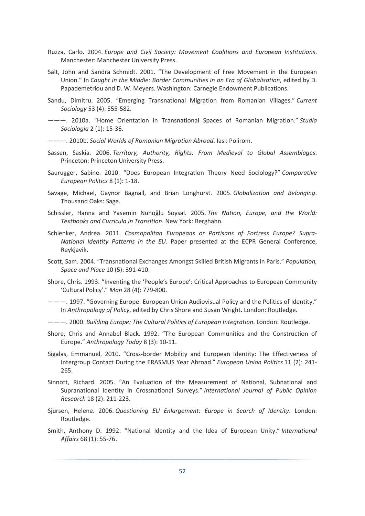- Ruzza, Carlo. 2004. *Europe and Civil Society: Movement Coalitions and European Institutions*. Manchester: Manchester University Press.
- Salt, John and Sandra Schmidt. 2001. "The Development of Free Movement in the European Union." In *Caught in the Middle: Border Communities in an Era of Globalisation*, edited by D. Papademetriou and D. W. Meyers. Washington: Carnegie Endowment Publications.
- Sandu, Dimitru. 2005. "Emerging Transnational Migration from Romanian Villages." *Current Sociology* 53 (4): 555-582.
- ———. 2010a. "Home Orientation in Transnational Spaces of Romanian Migration." *Studia Sociologia* 2 (1): 15-36.
- ———. 2010b. *Social Worlds of Romanian Migration Abroad*. Iasi: Polirom.
- Sassen, Saskia. 2006. *Territory, Authority, Rights: From Medieval to Global Assemblages*. Princeton: Princeton University Press.
- Saurugger, Sabine. 2010. "Does European Integration Theory Need Sociology?" *Comparative European Politics* 8 (1): 1-18.
- Savage, Michael, Gaynor Bagnall, and Brian Longhurst. 2005. *Globalization and Belonging*. Thousand Oaks: Sage.
- Schissler, Hanna and Yasemin Nuhoğlu Soysal. 2005. *The Nation, Europe, and the World: Textbooks and Curricula in Transition*. New York: Berghahn.
- Schlenker, Andrea. 2011*. Cosmopolitan Europeans or Partisans of Fortress Europe? Supra-National Identity Patterns in the EU*. Paper presented at the ECPR General Conference, Reykjavik.
- Scott, Sam. 2004. "Transnational Exchanges Amongst Skilled British Migrants in Paris." *Population, Space and Place* 10 (5): 391-410.
- Shore, Chris. 1993. "Inventing the 'People's Europe': Critical Approaches to European Community 'Cultural Policy'." *Man* 28 (4): 779-800.
- ———. 1997. "Governing Europe: European Union Audiovisual Policy and the Politics of Identity." In *Anthropology of Policy*, edited by Chris Shore and Susan Wright. London: Routledge.
- ———. 2000. *Building Europe: The Cultural Politics of European Integration*. London: Routledge.
- Shore, Chris and Annabel Black. 1992. "The European Communities and the Construction of Europe." *Anthropology Today* 8 (3): 10-11.
- Sigalas, Emmanuel. 2010. "Cross-border Mobility and European Identity: The Effectiveness of Intergroup Contact During the ERASMUS Year Abroad." *European Union Politics* 11 (2): 241- 265.
- Sinnott, Richard. 2005. "An Evaluation of the Measurement of National, Subnational and Supranational Identity in Crossnational Surveys." *International Journal of Public Opinion Research* 18 (2): 211-223.
- Sjursen, Helene. 2006. *Questioning EU Enlargement: Europe in Search of Identity*. London: Routledge.
- Smith, Anthony D. 1992. "National Identity and the Idea of European Unity." *International Affairs* 68 (1): 55-76.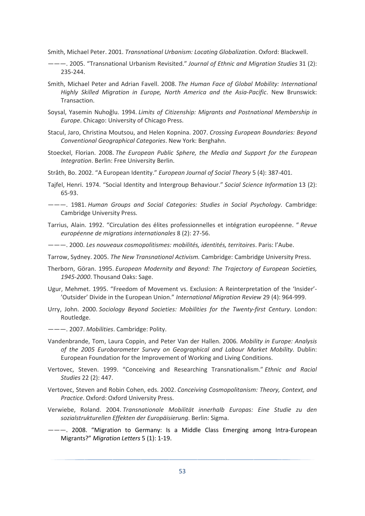Smith, Michael Peter. 2001. *Transnational Urbanism: Locating Globalization*. Oxford: Blackwell.

- ———. 2005. "Transnational Urbanism Revisited." *Journal of Ethnic and Migration Studies* 31 (2): 235-244.
- Smith, Michael Peter and Adrian Favell. 2008. *The Human Face of Global Mobility: International Highly Skilled Migration in Europe, North America and the Asia-Pacific*. New Brunswick: Transaction.
- Soysal, Yasemin Nuhoğlu. 1994. *Limits of Citizenship: Migrants and Postnational Membership in Europe*. Chicago: University of Chicago Press.
- Stacul, Jaro, Christina Moutsou, and Helen Kopnina. 2007. *Crossing European Boundaries: Beyond Conventional Geographical Categories*. New York: Berghahn.
- Stoeckel, Florian. 2008. *The European Public Sphere, the Media and Support for the European Integration*. Berlin: Free University Berlin.

Stråth, Bo. 2002. "A European Identity." *European Journal of Social Theory* 5 (4): 387-401.

- Tajfel, Henri. 1974. "Social Identity and Intergroup Behaviour." *Social Science Information* 13 (2): 65-93.
- ———. 1981. *Human Groups and Social Categories: Studies in Social Psychology*. Cambridge: Cambridge University Press.
- Tarrius, Alain. 1992. "Circulation des élites professionnelles et intégration européenne. " *Revue européenne de migrations internationales* 8 (2): 27-56.

———. 2000. *Les nouveaux cosmopolitismes: mobilités, identités, territoires*. Paris: l'Aube.

Tarrow, Sydney. 2005. *The New Transnational Activism.* Cambridge: Cambridge University Press.

- Therborn, Göran. 1995. *European Modernity and Beyond: The Trajectory of European Societies, 1945-2000*. Thousand Oaks: Sage.
- Ugur, Mehmet. 1995. "Freedom of Movement vs. Exclusion: A Reinterpretation of the 'Insider'- 'Outsider' Divide in the European Union." *International Migration Review* 29 (4): 964-999.
- Urry, John. 2000. *Sociology Beyond Societies: Mobilities for the Twenty-first Century*. London: Routledge.
- ———. 2007. *Mobilities*. Cambridge: Polity.
- Vandenbrande, Tom, Laura Coppin, and Peter Van der Hallen. 2006*. Mobility in Europe: Analysis of the 2005 Eurobarometer Survey on Geographical and Labour Market Mobility*. Dublin: European Foundation for the Improvement of Working and Living Conditions.
- Vertovec, Steven. 1999. "Conceiving and Researching Transnationalism." *Ethnic and Racial Studies* 22 (2): 447.
- Vertovec, Steven and Robin Cohen, eds. 2002. *Conceiving Cosmopolitanism: Theory, Context, and Practice*. Oxford: Oxford University Press.
- Verwiebe, Roland. 2004. *Transnationale Mobilität innerhalb Europas: Eine Studie zu den sozialstrukturellen Effekten der Europäisierung*. Berlin: Sigma.
- ———. 2008. "Migration to Germany: Is a Middle Class Emerging among Intra-European Migrants?" *Migration Letters* 5 (1): 1-19.